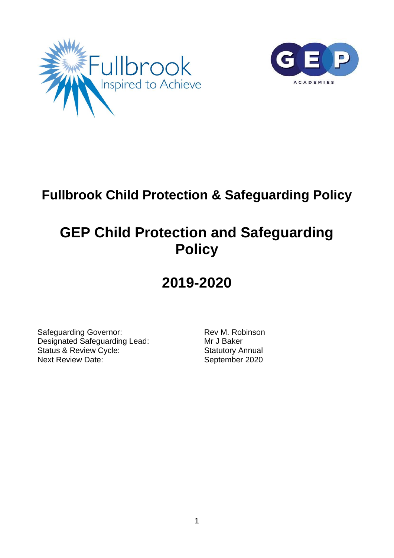



# **Fullbrook Child Protection & Safeguarding Policy**

# **GEP Child Protection and Safeguarding Policy**

# **2019-2020**

Safeguarding Governor: Rev M. Robinson Designated Safeguarding Lead: Mr J Baker Status & Review Cycle:<br>
Next Review Date: September 2020 Next Review Date: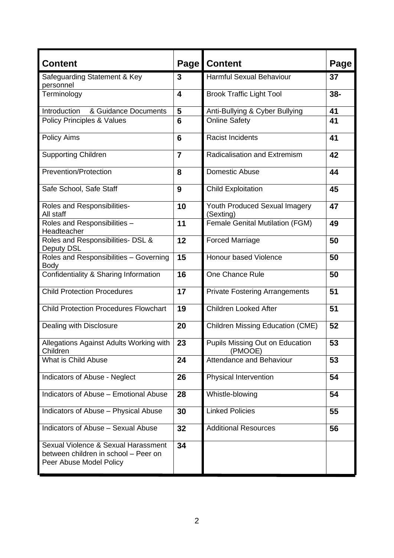| <b>Content</b>                                                                                         | Page <sup> </sup> | <b>Content</b>                             | Page   |
|--------------------------------------------------------------------------------------------------------|-------------------|--------------------------------------------|--------|
| Safeguarding Statement & Key<br>personnel                                                              | 3                 | <b>Harmful Sexual Behaviour</b>            | 37     |
| Terminology                                                                                            | 4                 | <b>Brook Traffic Light Tool</b>            | $38 -$ |
| Introduction<br>& Guidance Documents                                                                   | 5                 | Anti-Bullying & Cyber Bullying             | 41     |
| <b>Policy Principles &amp; Values</b>                                                                  | $6\phantom{1}6$   | <b>Online Safety</b>                       | 41     |
| <b>Policy Aims</b>                                                                                     | 6                 | <b>Racist Incidents</b>                    | 41     |
| <b>Supporting Children</b>                                                                             | $\overline{7}$    | Radicalisation and Extremism               | 42     |
| <b>Prevention/Protection</b>                                                                           | 8                 | Domestic Abuse                             | 44     |
| Safe School, Safe Staff                                                                                | 9                 | <b>Child Exploitation</b>                  | 45     |
| Roles and Responsibilities-<br>All staff                                                               | 10                | Youth Produced Sexual Imagery<br>(Sexting) | 47     |
| Roles and Responsibilities -<br>Headteacher                                                            | 11                | <b>Female Genital Mutilation (FGM)</b>     | 49     |
| Roles and Responsibilities- DSL &<br>Deputy DSL                                                        | 12                | <b>Forced Marriage</b>                     | 50     |
| Roles and Responsibilities - Governing<br><b>Body</b>                                                  | 15                | Honour based Violence                      | 50     |
| Confidentiality & Sharing Information                                                                  | 16                | One Chance Rule                            | 50     |
| <b>Child Protection Procedures</b>                                                                     | 17                | <b>Private Fostering Arrangements</b>      | 51     |
| <b>Child Protection Procedures Flowchart</b>                                                           | 19                | <b>Children Looked After</b>               | 51     |
| Dealing with Disclosure                                                                                | 20                | <b>Children Missing Education (CME)</b>    | 52     |
| Allegations Against Adults Working with<br>Children                                                    | 23                | Pupils Missing Out on Education<br>(PMOOE) | 53     |
| What is Child Abuse                                                                                    | 24                | Attendance and Behaviour                   | 53     |
| Indicators of Abuse - Neglect                                                                          | 26                | Physical Intervention                      | 54     |
| Indicators of Abuse - Emotional Abuse                                                                  | 28                | Whistle-blowing                            | 54     |
| Indicators of Abuse - Physical Abuse                                                                   | 30                | <b>Linked Policies</b>                     | 55     |
| Indicators of Abuse - Sexual Abuse                                                                     | 32                | <b>Additional Resources</b>                | 56     |
| Sexual Violence & Sexual Harassment<br>between children in school - Peer on<br>Peer Abuse Model Policy | 34                |                                            |        |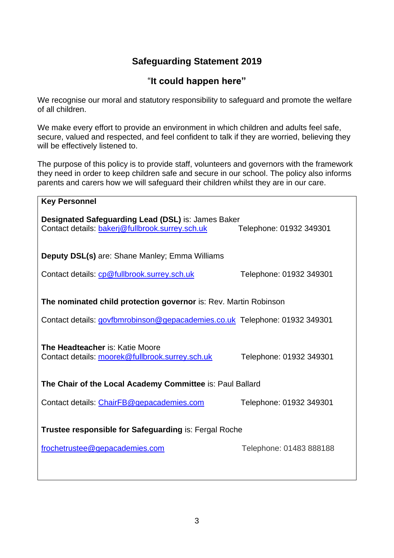# **Safeguarding Statement 2019**

# "**It could happen here"**

We recognise our moral and statutory responsibility to safeguard and promote the welfare of all children.

We make every effort to provide an environment in which children and adults feel safe, secure, valued and respected, and feel confident to talk if they are worried, believing they will be effectively listened to.

The purpose of this policy is to provide staff, volunteers and governors with the framework they need in order to keep children safe and secure in our school. The policy also informs parents and carers how we will safeguard their children whilst they are in our care.

| <b>Key Personnel</b>                                                                                                      |                         |  |  |  |
|---------------------------------------------------------------------------------------------------------------------------|-------------------------|--|--|--|
| Designated Safeguarding Lead (DSL) is: James Baker<br>Contact details: bakerj@fullbrook.surrey.sch.uk                     | Telephone: 01932 349301 |  |  |  |
| <b>Deputy DSL(s)</b> are: Shane Manley; Emma Williams                                                                     |                         |  |  |  |
| Contact details: cp@fullbrook.surrey.sch.uk                                                                               | Telephone: 01932 349301 |  |  |  |
| The nominated child protection governor is: Rev. Martin Robinson                                                          |                         |  |  |  |
| Contact details: govfbmrobinson@gepacademies.co.uk Telephone: 01932 349301                                                |                         |  |  |  |
| The Headteacher is: Katie Moore<br>Contact details: moorek@fullbrook.surrey.sch.uk                                        | Telephone: 01932 349301 |  |  |  |
| The Chair of the Local Academy Committee is: Paul Ballard                                                                 |                         |  |  |  |
| Contact details: ChairFB@gepacademies.com                                                                                 | Telephone: 01932 349301 |  |  |  |
| <b>Trustee responsible for Safeguarding is: Fergal Roche</b><br>frochetrustee@gepacademies.com<br>Telephone: 01483 888188 |                         |  |  |  |
|                                                                                                                           |                         |  |  |  |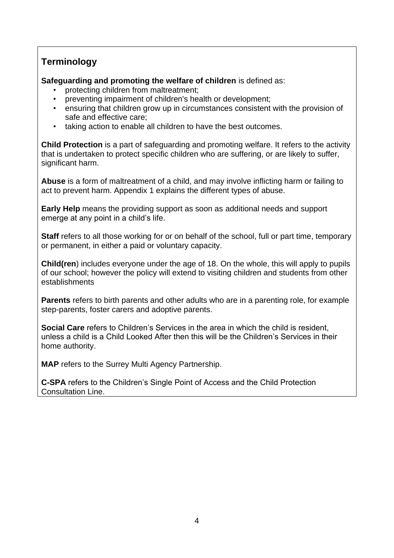# **Terminology**

**Safeguarding and promoting the welfare of children** is defined as:

- protecting children from maltreatment;
- preventing impairment of children's health or development;
- ensuring that children grow up in circumstances consistent with the provision of safe and effective care;
- taking action to enable all children to have the best outcomes.

**Child Protection** is a part of safeguarding and promoting welfare. It refers to the activity that is undertaken to protect specific children who are suffering, or are likely to suffer, significant harm.

**Abuse** is a form of maltreatment of a child, and may involve inflicting harm or failing to act to prevent harm. Appendix 1 explains the different types of abuse.

**Early Help** means the providing support as soon as additional needs and support emerge at any point in a child's life.

**Staff** refers to all those working for or on behalf of the school, full or part time, temporary or permanent, in either a paid or voluntary capacity.

**Child(ren**) includes everyone under the age of 18. On the whole, this will apply to pupils of our school; however the policy will extend to visiting children and students from other establishments

**Parents** refers to birth parents and other adults who are in a parenting role, for example step-parents, foster carers and adoptive parents.

**Social Care** refers to Children's Services in the area in which the child is resident, unless a child is a Child Looked After then this will be the Children's Services in their home authority.

**MAP** refers to the Surrey Multi Agency Partnership.

**C-SPA** refers to the Children's Single Point of Access and the Child Protection Consultation Line.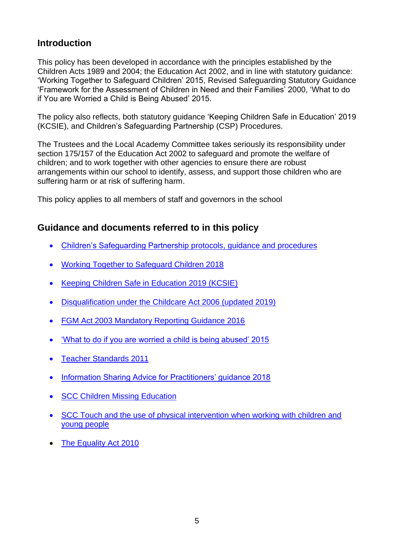# **Introduction**

This policy has been developed in accordance with the principles established by the Children Acts 1989 and 2004; the Education Act 2002, and in line with statutory guidance: 'Working Together to Safeguard Children' 2015, Revised Safeguarding Statutory Guidance 'Framework for the Assessment of Children in Need and their Families' 2000, 'What to do if You are Worried a Child is Being Abused' 2015.

The policy also reflects, both statutory guidance 'Keeping Children Safe in Education' 2019 (KCSIE), and Children's Safeguarding Partnership (CSP) Procedures.

The Trustees and the Local Academy Committee takes seriously its responsibility under section 175/157 of the Education Act 2002 to safeguard and promote the welfare of children; and to work together with other agencies to ensure there are robust arrangements within our school to identify, assess, and support those children who are suffering harm or at risk of suffering harm.

This policy applies to all members of staff and governors in the school

# **Guidance and documents referred to in this policy**

- Children's Safeguarding Partnership protocols, guidance and procedures
- Working Together to Safeguard Children 2018
- Keeping Children Safe in Education 2019 (KCSIE)
- Disqualification under the Childcare Act 2006 (updated 2019)
- FGM Act 2003 Mandatory Reporting Guidance 2016
- 'What to do if you are worried a child is being abused' 2015
- Teacher Standards 2011
- Information Sharing Advice for Practitioners' guidance 2018
- **SCC Children Missing Education**
- SCC Touch and the use of physical intervention when working with children and young people
- **The Equality Act 2010**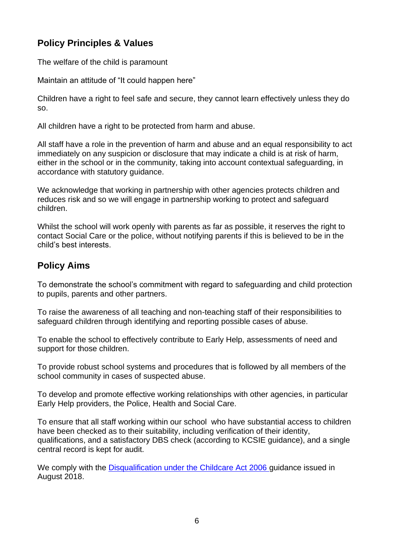# **Policy Principles & Values**

The welfare of the child is paramount

Maintain an attitude of "It could happen here"

Children have a right to feel safe and secure, they cannot learn effectively unless they do so.

All children have a right to be protected from harm and abuse.

All staff have a role in the prevention of harm and abuse and an equal responsibility to act immediately on any suspicion or disclosure that may indicate a child is at risk of harm, either in the school or in the community, taking into account contextual safeguarding, in accordance with statutory guidance.

We acknowledge that working in partnership with other agencies protects children and reduces risk and so we will engage in partnership working to protect and safeguard children.

Whilst the school will work openly with parents as far as possible, it reserves the right to contact Social Care or the police, without notifying parents if this is believed to be in the child's best interests.

# **Policy Aims**

To demonstrate the school's commitment with regard to safeguarding and child protection to pupils, parents and other partners.

To raise the awareness of all teaching and non-teaching staff of their responsibilities to safeguard children through identifying and reporting possible cases of abuse.

To enable the school to effectively contribute to Early Help, assessments of need and support for those children.

To provide robust school systems and procedures that is followed by all members of the school community in cases of suspected abuse.

To develop and promote effective working relationships with other agencies, in particular Early Help providers, the Police, Health and Social Care.

To ensure that all staff working within our school who have substantial access to children have been checked as to their suitability, including verification of their identity, qualifications, and a satisfactory DBS check (according to KCSIE guidance), and a single central record is kept for audit.

We comply with the [Disqualification under the Childcare Act 2006 g](https://www.gov.uk/government/publications/disqualification-under-the-childcare-act-2006https:/www.gov.uk/government/publications/disqualification-under-the-childcare-act-2006)uidance issued in August 2018.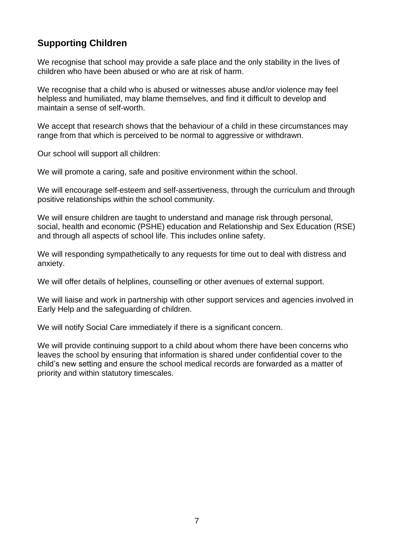# **Supporting Children**

We recognise that school may provide a safe place and the only stability in the lives of children who have been abused or who are at risk of harm.

We recognise that a child who is abused or witnesses abuse and/or violence may feel helpless and humiliated, may blame themselves, and find it difficult to develop and maintain a sense of self-worth.

We accept that research shows that the behaviour of a child in these circumstances may range from that which is perceived to be normal to aggressive or withdrawn.

Our school will support all children:

We will promote a caring, safe and positive environment within the school.

We will encourage self-esteem and self-assertiveness, through the curriculum and through positive relationships within the school community.

We will ensure children are taught to understand and manage risk through personal, social, health and economic (PSHE) education and Relationship and Sex Education (RSE) and through all aspects of school life. This includes online safety.

We will responding sympathetically to any requests for time out to deal with distress and anxiety.

We will offer details of helplines, counselling or other avenues of external support.

We will liaise and work in partnership with other support services and agencies involved in Early Help and the safeguarding of children.

We will notify Social Care immediately if there is a significant concern.

We will provide continuing support to a child about whom there have been concerns who leaves the school by ensuring that information is shared under confidential cover to the child's new setting and ensure the school medical records are forwarded as a matter of priority and within statutory timescales.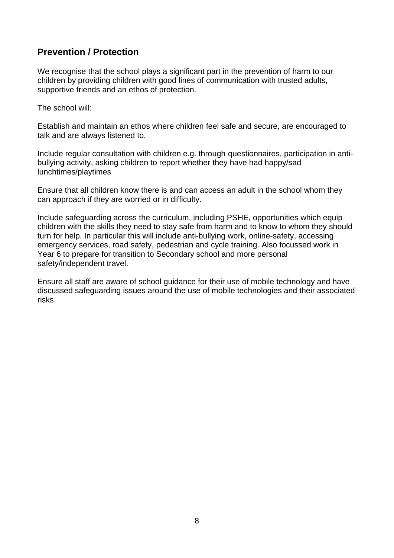# **Prevention / Protection**

We recognise that the school plays a significant part in the prevention of harm to our children by providing children with good lines of communication with trusted adults, supportive friends and an ethos of protection.

The school will:

Establish and maintain an ethos where children feel safe and secure, are encouraged to talk and are always listened to.

Include regular consultation with children e.g. through questionnaires, participation in antibullying activity, asking children to report whether they have had happy/sad lunchtimes/playtimes

Ensure that all children know there is and can access an adult in the school whom they can approach if they are worried or in difficulty.

Include safeguarding across the curriculum, including PSHE, opportunities which equip children with the skills they need to stay safe from harm and to know to whom they should turn for help. In particular this will include anti-bullying work, online-safety, accessing emergency services, road safety, pedestrian and cycle training. Also focussed work in Year 6 to prepare for transition to Secondary school and more personal safety/independent travel.

Ensure all staff are aware of school guidance for their use of mobile technology and have discussed safeguarding issues around the use of mobile technologies and their associated risks.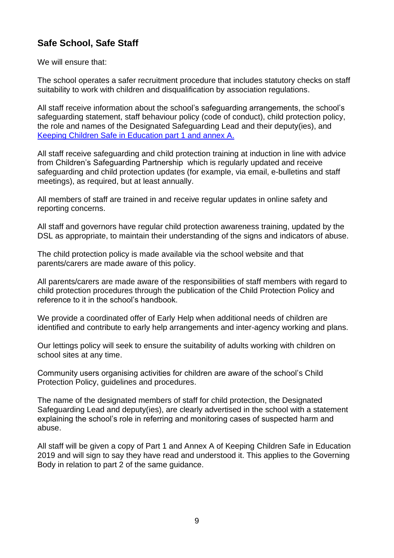# **Safe School, Safe Staff**

We will ensure that:

The school operates a safer recruitment procedure that includes statutory checks on staff suitability to work with children and disqualification by association regulations.

All staff receive information about the school's safeguarding arrangements, the school's safeguarding statement, staff behaviour policy (code of conduct), child protection policy, the role and names of the Designated Safeguarding Lead and their deputy(ies), and [Keeping Children Safe in Education part 1 and annex A.](https://assets.publishing.service.gov.uk/government/uploads/system/uploads/attachment_data/file/550499/Keeping_children_safe_in_education_Part_1.pdf)

All staff receive safeguarding and child protection training at induction in line with advice from Children's Safeguarding Partnership which is regularly updated and receive safeguarding and child protection updates (for example, via email, e-bulletins and staff meetings), as required, but at least annually.

All members of staff are trained in and receive regular updates in online safety and reporting concerns.

All staff and governors have regular child protection awareness training, updated by the DSL as appropriate, to maintain their understanding of the signs and indicators of abuse.

The child protection policy is made available via the school website and that parents/carers are made aware of this policy.

All parents/carers are made aware of the responsibilities of staff members with regard to child protection procedures through the publication of the Child Protection Policy and reference to it in the school's handbook.

We provide a coordinated offer of Early Help when additional needs of children are identified and contribute to early help arrangements and inter-agency working and plans.

Our lettings policy will seek to ensure the suitability of adults working with children on school sites at any time.

Community users organising activities for children are aware of the school's Child Protection Policy, guidelines and procedures.

The name of the designated members of staff for child protection, the Designated Safeguarding Lead and deputy(ies), are clearly advertised in the school with a statement explaining the school's role in referring and monitoring cases of suspected harm and abuse.

All staff will be given a copy of Part 1 and Annex A of Keeping Children Safe in Education 2019 and will sign to say they have read and understood it. This applies to the Governing Body in relation to part 2 of the same guidance.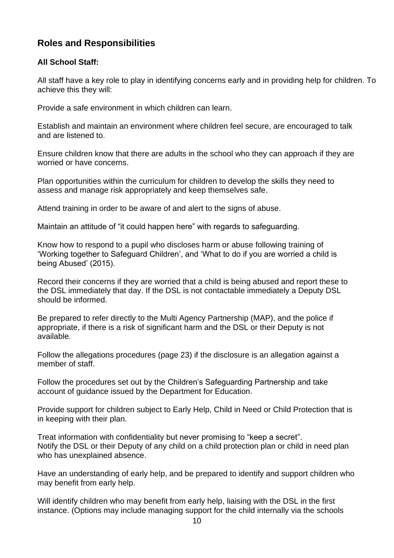# **Roles and Responsibilities**

### **All School Staff:**

All staff have a key role to play in identifying concerns early and in providing help for children. To achieve this they will:

Provide a safe environment in which children can learn.

Establish and maintain an environment where children feel secure, are encouraged to talk and are listened to.

Ensure children know that there are adults in the school who they can approach if they are worried or have concerns.

Plan opportunities within the curriculum for children to develop the skills they need to assess and manage risk appropriately and keep themselves safe.

Attend training in order to be aware of and alert to the signs of abuse.

Maintain an attitude of "it could happen here" with regards to safeguarding.

Know how to respond to a pupil who discloses harm or abuse following training of 'Working together to Safeguard Children', and 'What to do if you are worried a child is being Abused' (2015).

Record their concerns if they are worried that a child is being abused and report these to the DSL immediately that day. If the DSL is not contactable immediately a Deputy DSL should be informed.

Be prepared to refer directly to the Multi Agency Partnership (MAP), and the police if appropriate, if there is a risk of significant harm and the DSL or their Deputy is not available.

Follow the allegations procedures (page 23) if the disclosure is an allegation against a member of staff.

Follow the procedures set out by the Children's Safeguarding Partnership and take account of guidance issued by the Department for Education.

Provide support for children subject to Early Help, Child in Need or Child Protection that is in keeping with their plan.

Treat information with confidentiality but never promising to "keep a secret". Notify the DSL or their Deputy of any child on a child protection plan or child in need plan who has unexplained absence.

Have an understanding of early help, and be prepared to identify and support children who may benefit from early help.

Will identify children who may benefit from early help, liaising with the DSL in the first instance. (Options may include managing support for the child internally via the schools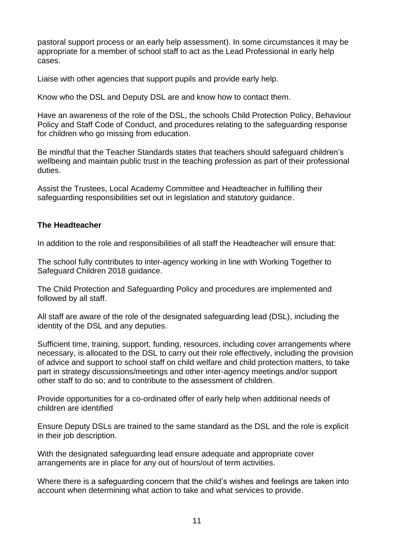pastoral support process or an early help assessment). In some circumstances it may be appropriate for a member of school staff to act as the Lead Professional in early help cases.

Liaise with other agencies that support pupils and provide early help.

Know who the DSL and Deputy DSL are and know how to contact them.

Have an awareness of the role of the DSL, the schools Child Protection Policy, Behaviour Policy and Staff Code of Conduct, and procedures relating to the safeguarding response for children who go missing from education.

Be mindful that the Teacher Standards states that teachers should safeguard children's wellbeing and maintain public trust in the teaching profession as part of their professional duties.

Assist the Trustees, Local Academy Committee and Headteacher in fulfilling their safeguarding responsibilities set out in legislation and statutory guidance.

#### **The Headteacher**

In addition to the role and responsibilities of all staff the Headteacher will ensure that:

The school fully contributes to inter-agency working in line with Working Together to Safeguard Children 2018 guidance.

The Child Protection and Safeguarding Policy and procedures are implemented and followed by all staff.

All staff are aware of the role of the designated safeguarding lead (DSL), including the identity of the DSL and any deputies.

Sufficient time, training, support, funding, resources, including cover arrangements where necessary, is allocated to the DSL to carry out their role effectively, including the provision of advice and support to school staff on child welfare and child protection matters, to take part in strategy discussions/meetings and other inter-agency meetings and/or support other staff to do so; and to contribute to the assessment of children.

Provide opportunities for a co-ordinated offer of early help when additional needs of children are identified

Ensure Deputy DSLs are trained to the same standard as the DSL and the role is explicit in their job description.

With the designated safeguarding lead ensure adequate and appropriate cover arrangements are in place for any out of hours/out of term activities.

Where there is a safeguarding concern that the child's wishes and feelings are taken into account when determining what action to take and what services to provide.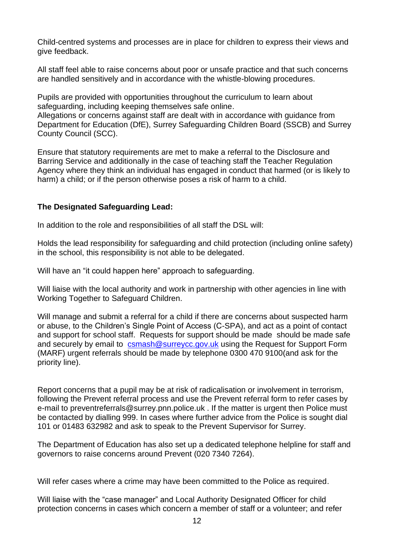Child-centred systems and processes are in place for children to express their views and give feedback.

All staff feel able to raise concerns about poor or unsafe practice and that such concerns are handled sensitively and in accordance with the whistle-blowing procedures.

Pupils are provided with opportunities throughout the curriculum to learn about safeguarding, including keeping themselves safe online.

Allegations or concerns against staff are dealt with in accordance with guidance from Department for Education (DfE), Surrey Safeguarding Children Board (SSCB) and Surrey County Council (SCC).

Ensure that statutory requirements are met to make a referral to the Disclosure and Barring Service and additionally in the case of teaching staff the Teacher Regulation Agency where they think an individual has engaged in conduct that harmed (or is likely to harm) a child; or if the person otherwise poses a risk of harm to a child.

#### **The Designated Safeguarding Lead:**

In addition to the role and responsibilities of all staff the DSL will:

Holds the lead responsibility for safeguarding and child protection (including online safety) in the school, this responsibility is not able to be delegated.

Will have an "it could happen here" approach to safeguarding.

Will liaise with the local authority and work in partnership with other agencies in line with Working Together to Safeguard Children.

Will manage and submit a referral for a child if there are concerns about suspected harm or abuse, to the Children's Single Point of Access (C-SPA), and act as a point of contact and support for school staff. Requests for support should be made should be made safe and securely by email to [csmash@surreycc.gov.uk](mailto:csmash@surreycc.gov.uk) using the Request for Support Form (MARF) urgent referrals should be made by telephone 0300 470 9100(and ask for the priority line).

Report concerns that a pupil may be at risk of radicalisation or involvement in terrorism, following the Prevent referral process and use the Prevent referral form to refer cases by e-mail to preventreferrals@surrey.pnn.police.uk . If the matter is urgent then Police must be contacted by dialling 999. In cases where further advice from the Police is sought dial 101 or 01483 632982 and ask to speak to the Prevent Supervisor for Surrey.

The Department of Education has also set up a dedicated telephone helpline for staff and governors to raise concerns around Prevent (020 7340 7264).

Will refer cases where a crime may have been committed to the Police as required.

Will liaise with the "case manager" and Local Authority Designated Officer for child protection concerns in cases which concern a member of staff or a volunteer; and refer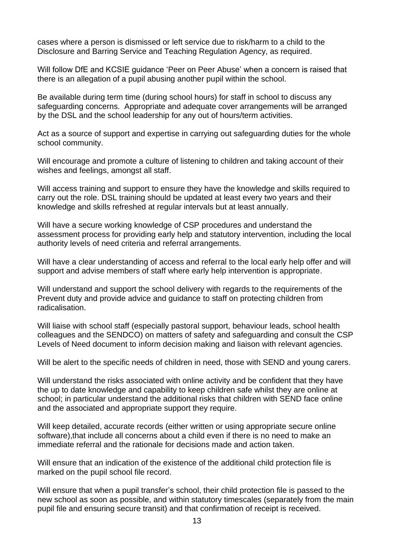cases where a person is dismissed or left service due to risk/harm to a child to the Disclosure and Barring Service and Teaching Regulation Agency, as required.

Will follow DfE and KCSIE guidance 'Peer on Peer Abuse' when a concern is raised that there is an allegation of a pupil abusing another pupil within the school.

Be available during term time (during school hours) for staff in school to discuss any safeguarding concerns. Appropriate and adequate cover arrangements will be arranged by the DSL and the school leadership for any out of hours/term activities.

Act as a source of support and expertise in carrying out safeguarding duties for the whole school community.

Will encourage and promote a culture of listening to children and taking account of their wishes and feelings, amongst all staff.

Will access training and support to ensure they have the knowledge and skills required to carry out the role. DSL training should be updated at least every two years and their knowledge and skills refreshed at regular intervals but at least annually.

Will have a secure working knowledge of CSP procedures and understand the assessment process for providing early help and statutory intervention, including the local authority levels of need criteria and referral arrangements.

Will have a clear understanding of access and referral to the local early help offer and will support and advise members of staff where early help intervention is appropriate.

Will understand and support the school delivery with regards to the requirements of the Prevent duty and provide advice and guidance to staff on protecting children from radicalisation.

Will liaise with school staff (especially pastoral support, behaviour leads, school health colleagues and the SENDCO) on matters of safety and safeguarding and consult the CSP Levels of Need document to inform decision making and liaison with relevant agencies.

Will be alert to the specific needs of children in need, those with SEND and young carers.

Will understand the risks associated with online activity and be confident that they have the up to date knowledge and capability to keep children safe whilst they are online at school; in particular understand the additional risks that children with SEND face online and the associated and appropriate support they require.

Will keep detailed, accurate records (either written or using appropriate secure online software),that include all concerns about a child even if there is no need to make an immediate referral and the rationale for decisions made and action taken.

Will ensure that an indication of the existence of the additional child protection file is marked on the pupil school file record.

Will ensure that when a pupil transfer's school, their child protection file is passed to the new school as soon as possible, and within statutory timescales (separately from the main pupil file and ensuring secure transit) and that confirmation of receipt is received.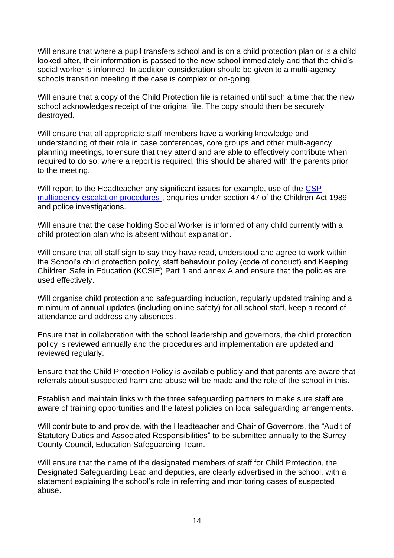Will ensure that where a pupil transfers school and is on a child protection plan or is a child looked after, their information is passed to the new school immediately and that the child's social worker is informed. In addition consideration should be given to a multi-agency schools transition meeting if the case is complex or on-going.

Will ensure that a copy of the Child Protection file is retained until such a time that the new school acknowledges receipt of the original file. The copy should then be securely destroyed.

Will ensure that all appropriate staff members have a working knowledge and understanding of their role in case conferences, core groups and other multi-agency planning meetings, to ensure that they attend and are able to effectively contribute when required to do so; where a report is required, this should be shared with the parents prior to the meeting.

Will report to the Headteacher any significant issues for example, use of the CSP multiagency escalation procedures, enquiries under section 47 of the Children Act 1989 and police investigations.

Will ensure that the case holding Social Worker is informed of any child currently with a child protection plan who is absent without explanation.

Will ensure that all staff sign to say they have read, understood and agree to work within the School's child protection policy, staff behaviour policy (code of conduct) and Keeping Children Safe in Education (KCSIE) Part 1 and annex A and ensure that the policies are used effectively.

Will organise child protection and safeguarding induction, regularly updated training and a minimum of annual updates (including online safety) for all school staff, keep a record of attendance and address any absences.

Ensure that in collaboration with the school leadership and governors, the child protection policy is reviewed annually and the procedures and implementation are updated and reviewed regularly.

Ensure that the Child Protection Policy is available publicly and that parents are aware that referrals about suspected harm and abuse will be made and the role of the school in this.

Establish and maintain links with the three safeguarding partners to make sure staff are aware of training opportunities and the latest policies on local safeguarding arrangements.

Will contribute to and provide, with the Headteacher and Chair of Governors, the "Audit of Statutory Duties and Associated Responsibilities" to be submitted annually to the Surrey County Council, Education Safeguarding Team.

Will ensure that the name of the designated members of staff for Child Protection, the Designated Safeguarding Lead and deputies, are clearly advertised in the school, with a statement explaining the school's role in referring and monitoring cases of suspected abuse.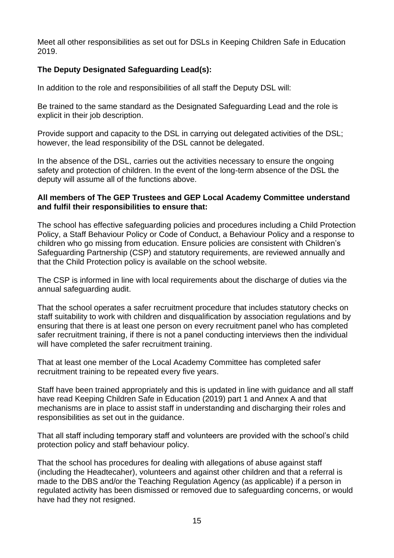Meet all other responsibilities as set out for DSLs in Keeping Children Safe in Education 2019.

### **The Deputy Designated Safeguarding Lead(s):**

In addition to the role and responsibilities of all staff the Deputy DSL will:

Be trained to the same standard as the Designated Safeguarding Lead and the role is explicit in their job description.

Provide support and capacity to the DSL in carrying out delegated activities of the DSL; however, the lead responsibility of the DSL cannot be delegated.

In the absence of the DSL, carries out the activities necessary to ensure the ongoing safety and protection of children. In the event of the long-term absence of the DSL the deputy will assume all of the functions above.

#### **All members of The GEP Trustees and GEP Local Academy Committee understand and fulfil their responsibilities to ensure that:**

The school has effective safeguarding policies and procedures including a Child Protection Policy, a Staff Behaviour Policy or Code of Conduct, a Behaviour Policy and a response to children who go missing from education. Ensure policies are consistent with Children's Safeguarding Partnership (CSP) and statutory requirements, are reviewed annually and that the Child Protection policy is available on the school website.

The CSP is informed in line with local requirements about the discharge of duties via the annual safeguarding audit.

That the school operates a safer recruitment procedure that includes statutory checks on staff suitability to work with children and disqualification by association regulations and by ensuring that there is at least one person on every recruitment panel who has completed safer recruitment training, if there is not a panel conducting interviews then the individual will have completed the safer recruitment training.

That at least one member of the Local Academy Committee has completed safer recruitment training to be repeated every five years.

Staff have been trained appropriately and this is updated in line with guidance and all staff have read Keeping Children Safe in Education (2019) part 1 and Annex A and that mechanisms are in place to assist staff in understanding and discharging their roles and responsibilities as set out in the guidance.

That all staff including temporary staff and volunteers are provided with the school's child protection policy and staff behaviour policy.

That the school has procedures for dealing with allegations of abuse against staff (including the Headtecaher), volunteers and against other children and that a referral is made to the DBS and/or the Teaching Regulation Agency (as applicable) if a person in regulated activity has been dismissed or removed due to safeguarding concerns, or would have had they not resigned.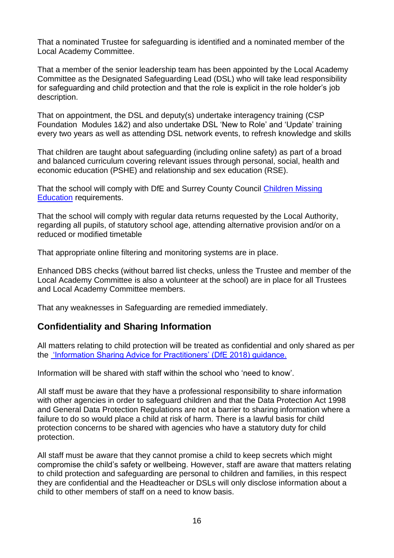That a nominated Trustee for safeguarding is identified and a nominated member of the Local Academy Committee.

That a member of the senior leadership team has been appointed by the Local Academy Committee as the Designated Safeguarding Lead (DSL) who will take lead responsibility for safeguarding and child protection and that the role is explicit in the role holder's job description.

That on appointment, the DSL and deputy(s) undertake interagency training (CSP Foundation Modules 1&2) and also undertake DSL 'New to Role' and 'Update' training every two years as well as attending DSL network events, to refresh knowledge and skills

That children are taught about safeguarding (including online safety) as part of a broad and balanced curriculum covering relevant issues through personal, social, health and economic education (PSHE) and relationship and sex education (RSE).

That the school will comply with DfE and Surrey County Council Children Missing [Education](https://www.surreycc.gov.uk/schools-and-learning/teachers-and-education-staff/educational-advice-and-support-for-teachers/education-safeguarding-in-surrey-schools-and-learning/safeguarding-children-in-education-policies-procedures-and-guidance) requirements.

That the school will comply with regular data returns requested by the Local Authority, regarding all pupils, of statutory school age, attending alternative provision and/or on a reduced or modified timetable

That appropriate online filtering and monitoring systems are in place.

Enhanced DBS checks (without barred list checks, unless the Trustee and member of the Local Academy Committee is also a volunteer at the school) are in place for all Trustees and Local Academy Committee members.

That any weaknesses in Safeguarding are remedied immediately.

### **Confidentiality and Sharing Information**

All matters relating to child protection will be treated as confidential and only shared as per the 'Information Sharing Advice for Practitioners' (DfE 2018) guidance.

Information will be shared with staff within the school who 'need to know'.

All staff must be aware that they have a professional responsibility to share information with other agencies in order to safeguard children and that the Data Protection Act 1998 and General Data Protection Regulations are not a barrier to sharing information where a failure to do so would place a child at risk of harm. There is a lawful basis for child protection concerns to be shared with agencies who have a statutory duty for child protection.

All staff must be aware that they cannot promise a child to keep secrets which might compromise the child's safety or wellbeing. However, staff are aware that matters relating to child protection and safeguarding are personal to children and families, in this respect they are confidential and the Headteacher or DSLs will only disclose information about a child to other members of staff on a need to know basis.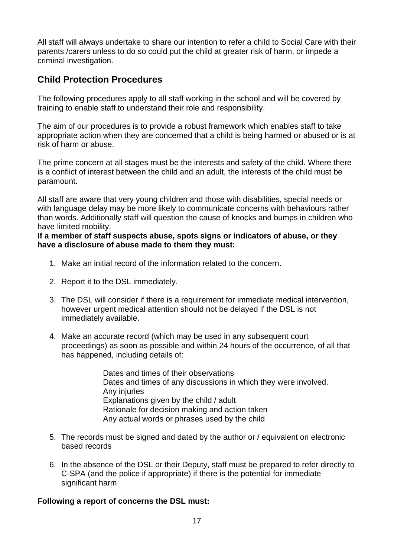All staff will always undertake to share our intention to refer a child to Social Care with their parents /carers unless to do so could put the child at greater risk of harm, or impede a criminal investigation.

# **Child Protection Procedures**

The following procedures apply to all staff working in the school and will be covered by training to enable staff to understand their role and responsibility.

The aim of our procedures is to provide a robust framework which enables staff to take appropriate action when they are concerned that a child is being harmed or abused or is at risk of harm or abuse.

The prime concern at all stages must be the interests and safety of the child. Where there is a conflict of interest between the child and an adult, the interests of the child must be paramount.

All staff are aware that very young children and those with disabilities, special needs or with language delay may be more likely to communicate concerns with behaviours rather than words. Additionally staff will question the cause of knocks and bumps in children who have limited mobility.

**If a member of staff suspects abuse, spots signs or indicators of abuse, or they have a disclosure of abuse made to them they must:**

- 1. Make an initial record of the information related to the concern.
- 2. Report it to the DSL immediately.
- 3. The DSL will consider if there is a requirement for immediate medical intervention, however urgent medical attention should not be delayed if the DSL is not immediately available.
- 4. Make an accurate record (which may be used in any subsequent court proceedings) as soon as possible and within 24 hours of the occurrence, of all that has happened, including details of:

Dates and times of their observations Dates and times of any discussions in which they were involved. Any injuries Explanations given by the child / adult Rationale for decision making and action taken Any actual words or phrases used by the child

- 5. The records must be signed and dated by the author or / equivalent on electronic based records
- 6. In the absence of the DSL or their Deputy, staff must be prepared to refer directly to C-SPA (and the police if appropriate) if there is the potential for immediate significant harm

#### **Following a report of concerns the DSL must:**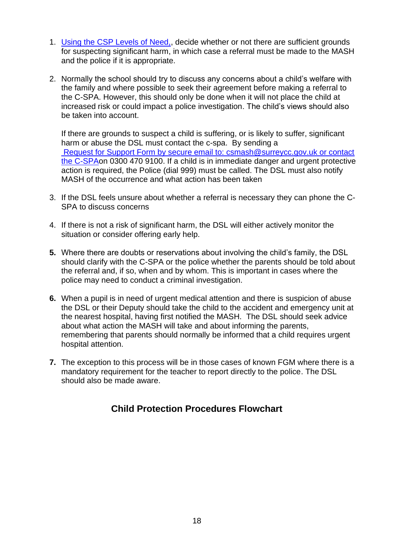- 1. Using the CSP Levels of Need,, decide whether or not there are sufficient grounds for suspecting significant harm, in which case a referral must be made to the MASH and the police if it is appropriate.
- 2. Normally the school should try to discuss any concerns about a child's welfare with the family and where possible to seek their agreement before making a referral to the C-SPA. However, this should only be done when it will not place the child at increased risk or could impact a police investigation. The child's views should also be taken into account.

If there are grounds to suspect a child is suffering, or is likely to suffer, significant harm or abuse the DSL must contact the c-spa. By sending a Request for Support Form by secure email to: csmash@surreycc.gov.uk or contact the C-SPAon 0300 470 9100. If a child is in immediate danger and urgent protective action is required, the Police (dial 999) must be called. The DSL must also notify MASH of the occurrence and what action has been taken

- 3. If the DSL feels unsure about whether a referral is necessary they can phone the C-SPA to discuss concerns
- 4. If there is not a risk of significant harm, the DSL will either actively monitor the situation or consider offering early help.
- **5.** Where there are doubts or reservations about involving the child's family, the DSL should clarify with the C-SPA or the police whether the parents should be told about the referral and, if so, when and by whom. This is important in cases where the police may need to conduct a criminal investigation.
- **6.** When a pupil is in need of urgent medical attention and there is suspicion of abuse the DSL or their Deputy should take the child to the accident and emergency unit at the nearest hospital, having first notified the MASH. The DSL should seek advice about what action the MASH will take and about informing the parents, remembering that parents should normally be informed that a child requires urgent hospital attention.
- **7.** The exception to this process will be in those cases of known FGM where there is a mandatory requirement for the teacher to report directly to the police. The DSL should also be made aware.

# **Child Protection Procedures Flowchart**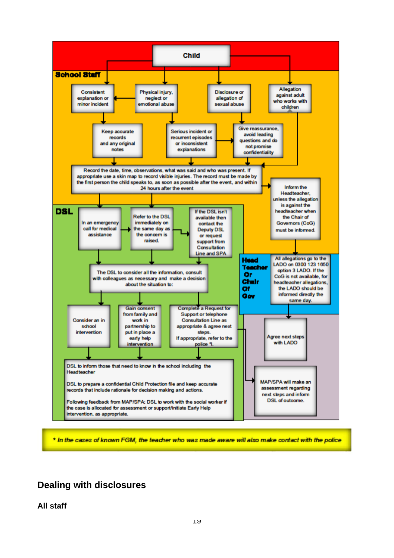

\* In the cases of known FGM, the teacher who was made aware will also make contact with the police

# **Dealing with disclosures**

**All staff**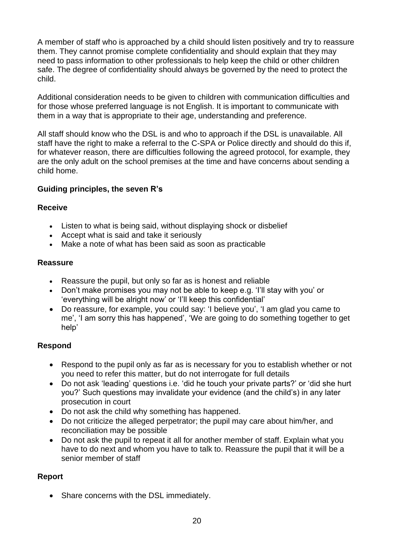A member of staff who is approached by a child should listen positively and try to reassure them. They cannot promise complete confidentiality and should explain that they may need to pass information to other professionals to help keep the child or other children safe. The degree of confidentiality should always be governed by the need to protect the child.

Additional consideration needs to be given to children with communication difficulties and for those whose preferred language is not English. It is important to communicate with them in a way that is appropriate to their age, understanding and preference.

All staff should know who the DSL is and who to approach if the DSL is unavailable. All staff have the right to make a referral to the C-SPA or Police directly and should do this if, for whatever reason, there are difficulties following the agreed protocol, for example, they are the only adult on the school premises at the time and have concerns about sending a child home.

### **Guiding principles, the seven R's**

#### **Receive**

- Listen to what is being said, without displaying shock or disbelief
- Accept what is said and take it seriously
- Make a note of what has been said as soon as practicable

### **Reassure**

- Reassure the pupil, but only so far as is honest and reliable
- Don't make promises you may not be able to keep e.g. 'I'll stay with you' or 'everything will be alright now' or 'I'll keep this confidential'
- Do reassure, for example, you could say: 'I believe you', 'I am glad you came to me', 'I am sorry this has happened', 'We are going to do something together to get help'

### **Respond**

- Respond to the pupil only as far as is necessary for you to establish whether or not you need to refer this matter, but do not interrogate for full details
- Do not ask 'leading' questions i.e. 'did he touch your private parts?' or 'did she hurt you?' Such questions may invalidate your evidence (and the child's) in any later prosecution in court
- Do not ask the child why something has happened.
- Do not criticize the alleged perpetrator; the pupil may care about him/her, and reconciliation may be possible
- Do not ask the pupil to repeat it all for another member of staff. Explain what you have to do next and whom you have to talk to. Reassure the pupil that it will be a senior member of staff

### **Report**

• Share concerns with the DSL immediately.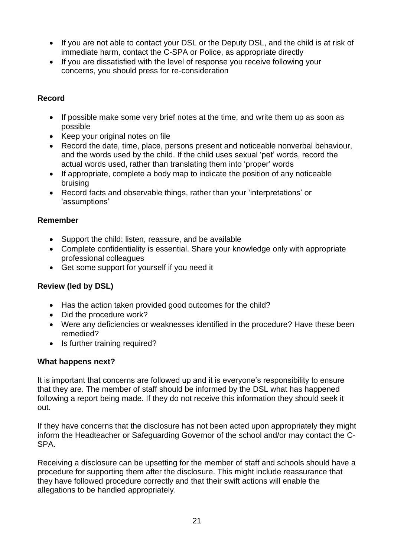- If you are not able to contact your DSL or the Deputy DSL, and the child is at risk of immediate harm, contact the C-SPA or Police, as appropriate directly
- If you are dissatisfied with the level of response you receive following your concerns, you should press for re-consideration

### **Record**

- If possible make some very brief notes at the time, and write them up as soon as possible
- Keep your original notes on file
- Record the date, time, place, persons present and noticeable nonverbal behaviour, and the words used by the child. If the child uses sexual 'pet' words, record the actual words used, rather than translating them into 'proper' words
- If appropriate, complete a body map to indicate the position of any noticeable bruising
- Record facts and observable things, rather than your 'interpretations' or 'assumptions'

### **Remember**

- Support the child: listen, reassure, and be available
- Complete confidentiality is essential. Share your knowledge only with appropriate professional colleagues
- Get some support for yourself if you need it

### **Review (led by DSL)**

- Has the action taken provided good outcomes for the child?
- Did the procedure work?
- Were any deficiencies or weaknesses identified in the procedure? Have these been remedied?
- Is further training required?

#### **What happens next?**

It is important that concerns are followed up and it is everyone's responsibility to ensure that they are. The member of staff should be informed by the DSL what has happened following a report being made. If they do not receive this information they should seek it out.

If they have concerns that the disclosure has not been acted upon appropriately they might inform the Headteacher or Safeguarding Governor of the school and/or may contact the C-SPA.

Receiving a disclosure can be upsetting for the member of staff and schools should have a procedure for supporting them after the disclosure. This might include reassurance that they have followed procedure correctly and that their swift actions will enable the allegations to be handled appropriately.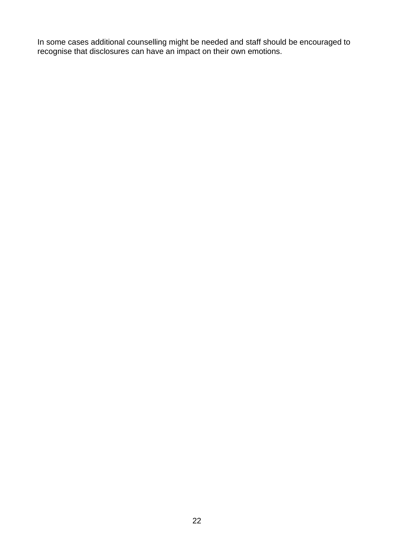In some cases additional counselling might be needed and staff should be encouraged to recognise that disclosures can have an impact on their own emotions.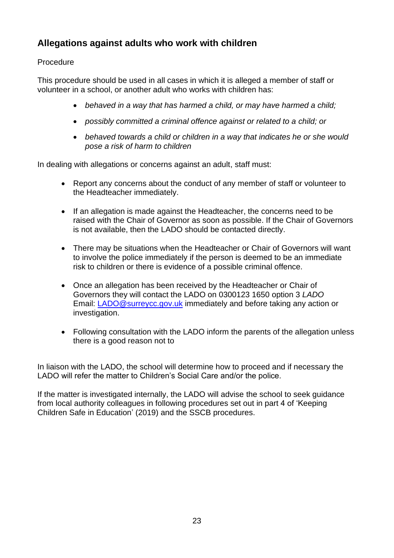# **Allegations against adults who work with children**

### Procedure

This procedure should be used in all cases in which it is alleged a member of staff or volunteer in a school, or another adult who works with children has:

- *behaved in a way that has harmed a child, or may have harmed a child;*
- *possibly committed a criminal offence against or related to a child; or*
- *behaved towards a child or children in a way that indicates he or she would pose a risk of harm to children*

In dealing with allegations or concerns against an adult, staff must:

- Report any concerns about the conduct of any member of staff or volunteer to the Headteacher immediately.
- If an allegation is made against the Headteacher, the concerns need to be raised with the Chair of Governor as soon as possible. If the Chair of Governors is not available, then the LADO should be contacted directly.
- There may be situations when the Headteacher or Chair of Governors will want to involve the police immediately if the person is deemed to be an immediate risk to children or there is evidence of a possible criminal offence.
- Once an allegation has been received by the Headteacher or Chair of Governors they will contact the LADO on 0300123 1650 option 3 *LADO* Email: [LADO@surreycc.gov.uk](mailto:LADO@surreycc.gov.uk) immediately and before taking any action or investigation.
- Following consultation with the LADO inform the parents of the allegation unless there is a good reason not to

In liaison with the LADO, the school will determine how to proceed and if necessary the LADO will refer the matter to Children's Social Care and/or the police.

If the matter is investigated internally, the LADO will advise the school to seek guidance from local authority colleagues in following procedures set out in part 4 of 'Keeping Children Safe in Education' (2019) and the SSCB procedures.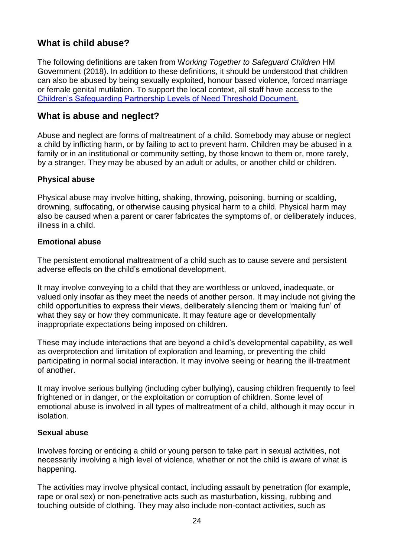# **What is child abuse?**

The following definitions are taken from W*orking Together to Safeguard Children* HM Government (2018). In addition to these definitions, it should be understood that children can also be abused by being sexually exploited, honour based violence, forced marriage or female genital mutilation. To support the local context, all staff have access to the Children's Safeguarding Partnership Levels of Need Threshold Document.

## **What is abuse and neglect?**

Abuse and neglect are forms of maltreatment of a child. Somebody may abuse or neglect a child by inflicting harm, or by failing to act to prevent harm. Children may be abused in a family or in an institutional or community setting, by those known to them or, more rarely, by a stranger. They may be abused by an adult or adults, or another child or children.

#### **Physical abuse**

Physical abuse may involve hitting, shaking, throwing, poisoning, burning or scalding, drowning, suffocating, or otherwise causing physical harm to a child. Physical harm may also be caused when a parent or carer fabricates the symptoms of, or deliberately induces, illness in a child.

#### **Emotional abuse**

The persistent emotional maltreatment of a child such as to cause severe and persistent adverse effects on the child's emotional development.

It may involve conveying to a child that they are worthless or unloved, inadequate, or valued only insofar as they meet the needs of another person. It may include not giving the child opportunities to express their views, deliberately silencing them or 'making fun' of what they say or how they communicate. It may feature age or developmentally inappropriate expectations being imposed on children.

These may include interactions that are beyond a child's developmental capability, as well as overprotection and limitation of exploration and learning, or preventing the child participating in normal social interaction. It may involve seeing or hearing the ill-treatment of another.

It may involve serious bullying (including cyber bullying), causing children frequently to feel frightened or in danger, or the exploitation or corruption of children. Some level of emotional abuse is involved in all types of maltreatment of a child, although it may occur in isolation.

#### **Sexual abuse**

Involves forcing or enticing a child or young person to take part in sexual activities, not necessarily involving a high level of violence, whether or not the child is aware of what is happening.

The activities may involve physical contact, including assault by penetration (for example, rape or oral sex) or non-penetrative acts such as masturbation, kissing, rubbing and touching outside of clothing. They may also include non-contact activities, such as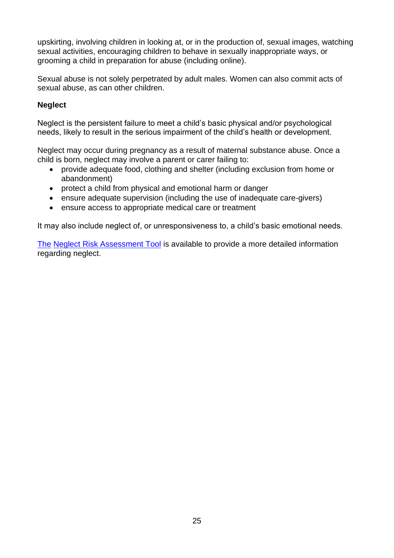upskirting, involving children in looking at, or in the production of, sexual images, watching sexual activities, encouraging children to behave in sexually inappropriate ways, or grooming a child in preparation for abuse (including online).

Sexual abuse is not solely perpetrated by adult males. Women can also commit acts of sexual abuse, as can other children.

### **Neglect**

Neglect is the persistent failure to meet a child's basic physical and/or psychological needs, likely to result in the serious impairment of the child's health or development.

Neglect may occur during pregnancy as a result of maternal substance abuse. Once a child is born, neglect may involve a parent or carer failing to:

- provide adequate food, clothing and shelter (including exclusion from home or abandonment)
- protect a child from physical and emotional harm or danger
- ensure adequate supervision (including the use of inadequate care-givers)
- ensure access to appropriate medical care or treatment

It may also include neglect of, or unresponsiveness to, a child's basic emotional needs.

The [Neglect Risk Assessment Tool](http://www.surreyscb.org.uk/professionals/guidance-protocols/) is available to provide a more detailed information regarding neglect.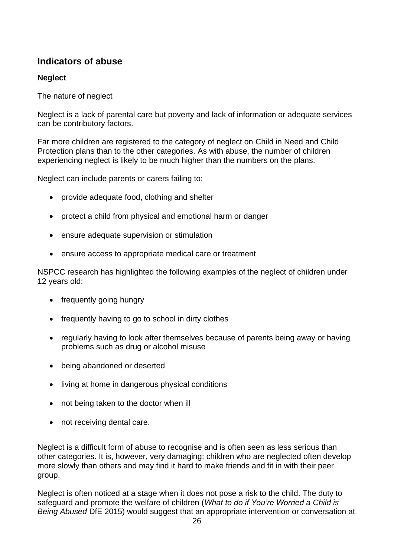# **Indicators of abuse**

### **Neglect**

The nature of neglect

Neglect is a lack of parental care but poverty and lack of information or adequate services can be contributory factors.

Far more children are registered to the category of neglect on Child in Need and Child Protection plans than to the other categories. As with abuse, the number of children experiencing neglect is likely to be much higher than the numbers on the plans.

Neglect can include parents or carers failing to:

- provide adequate food, clothing and shelter
- protect a child from physical and emotional harm or danger
- ensure adequate supervision or stimulation
- ensure access to appropriate medical care or treatment

NSPCC research has highlighted the following examples of the neglect of children under 12 years old:

- frequently going hungry
- frequently having to go to school in dirty clothes
- regularly having to look after themselves because of parents being away or having problems such as drug or alcohol misuse
- being abandoned or deserted
- living at home in dangerous physical conditions
- not being taken to the doctor when ill
- not receiving dental care.

Neglect is a difficult form of abuse to recognise and is often seen as less serious than other categories. It is, however, very damaging: children who are neglected often develop more slowly than others and may find it hard to make friends and fit in with their peer group.

Neglect is often noticed at a stage when it does not pose a risk to the child. The duty to safeguard and promote the welfare of children (*What to do if You're Worried a Child is Being Abused* DfE 2015) would suggest that an appropriate intervention or conversation at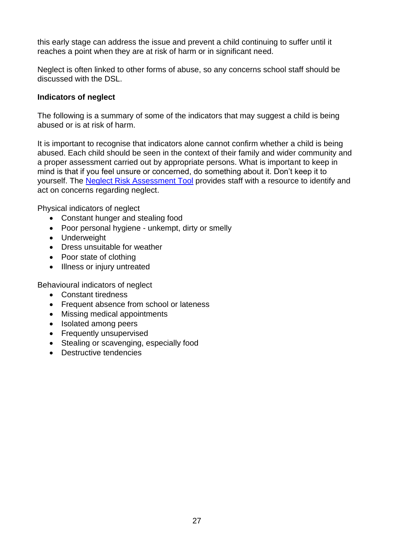this early stage can address the issue and prevent a child continuing to suffer until it reaches a point when they are at risk of harm or in significant need.

Neglect is often linked to other forms of abuse, so any concerns school staff should be discussed with the DSL.

#### **Indicators of neglect**

The following is a summary of some of the indicators that may suggest a child is being abused or is at risk of harm.

It is important to recognise that indicators alone cannot confirm whether a child is being abused. Each child should be seen in the context of their family and wider community and a proper assessment carried out by appropriate persons. What is important to keep in mind is that if you feel unsure or concerned, do something about it. Don't keep it to yourself. The [Neglect Risk Assessment Tool](http://www.surreyscb.org.uk/professionals/guidance-protocols/) provides staff with a resource to identify and act on concerns regarding neglect.

Physical indicators of neglect

- Constant hunger and stealing food
- Poor personal hygiene unkempt, dirty or smelly
- Underweight
- Dress unsuitable for weather
- Poor state of clothing
- Illness or injury untreated

Behavioural indicators of neglect

- Constant tiredness
- Frequent absence from school or lateness
- Missing medical appointments
- Isolated among peers
- Frequently unsupervised
- Stealing or scavenging, especially food
- Destructive tendencies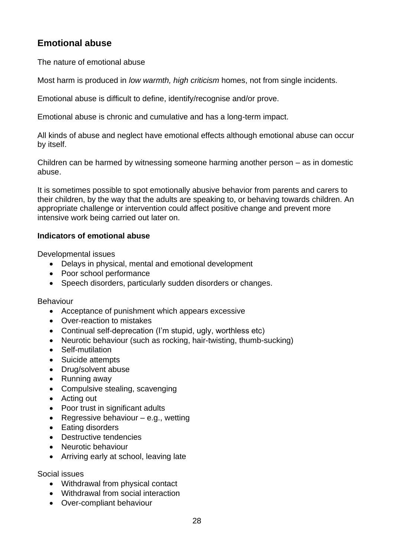# **Emotional abuse**

The nature of emotional abuse

Most harm is produced in *low warmth, high criticism* homes, not from single incidents.

Emotional abuse is difficult to define, identify/recognise and/or prove.

Emotional abuse is chronic and cumulative and has a long-term impact.

All kinds of abuse and neglect have emotional effects although emotional abuse can occur by itself.

Children can be harmed by witnessing someone harming another person – as in domestic abuse.

It is sometimes possible to spot emotionally abusive behavior from parents and carers to their children, by the way that the adults are speaking to, or behaving towards children. An appropriate challenge or intervention could affect positive change and prevent more intensive work being carried out later on.

#### **Indicators of emotional abuse**

Developmental issues

- Delays in physical, mental and emotional development
- Poor school performance
- Speech disorders, particularly sudden disorders or changes.

Behaviour

- Acceptance of punishment which appears excessive
- Over-reaction to mistakes
- Continual self-deprecation (I'm stupid, ugly, worthless etc)
- Neurotic behaviour (such as rocking, hair-twisting, thumb-sucking)
- Self-mutilation
- Suicide attempts
- Drug/solvent abuse
- Running away
- Compulsive stealing, scavenging
- Acting out
- Poor trust in significant adults
- Regressive behaviour  $-$  e.g., wetting
- Eating disorders
- Destructive tendencies
- Neurotic behaviour
- Arriving early at school, leaving late

Social issues

- Withdrawal from physical contact
- Withdrawal from social interaction
- Over-compliant behaviour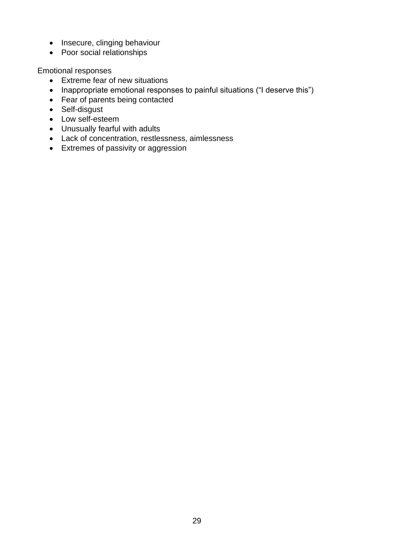- Insecure, clinging behaviour
- Poor social relationships

Emotional responses

- Extreme fear of new situations
- Inappropriate emotional responses to painful situations ("I deserve this")
- Fear of parents being contacted
- Self-disgust
- Low self-esteem
- Unusually fearful with adults
- Lack of concentration, restlessness, aimlessness
- Extremes of passivity or aggression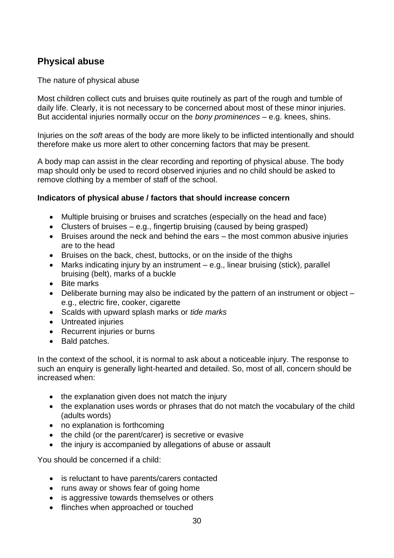# **Physical abuse**

The nature of physical abuse

Most children collect cuts and bruises quite routinely as part of the rough and tumble of daily life. Clearly, it is not necessary to be concerned about most of these minor injuries. But accidental injuries normally occur on the *bony prominences* – e.g. knees, shins.

Injuries on the *soft* areas of the body are more likely to be inflicted intentionally and should therefore make us more alert to other concerning factors that may be present.

A body map can assist in the clear recording and reporting of physical abuse. The body map should only be used to record observed injuries and no child should be asked to remove clothing by a member of staff of the school.

#### **Indicators of physical abuse / factors that should increase concern**

- Multiple bruising or bruises and scratches (especially on the head and face)
- Clusters of bruises  $-$  e.g., fingertip bruising (caused by being grasped)
- Bruises around the neck and behind the ears the most common abusive injuries are to the head
- Bruises on the back, chest, buttocks, or on the inside of the thighs
- Marks indicating injury by an instrument e.g., linear bruising (stick), parallel bruising (belt), marks of a buckle
- Bite marks
- Deliberate burning may also be indicated by the pattern of an instrument or object e.g., electric fire, cooker, cigarette
- Scalds with upward splash marks or *tide marks*
- Untreated injuries
- Recurrent injuries or burns
- Bald patches.

In the context of the school, it is normal to ask about a noticeable injury. The response to such an enquiry is generally light-hearted and detailed. So, most of all, concern should be increased when:

- the explanation given does not match the injury
- the explanation uses words or phrases that do not match the vocabulary of the child (adults words)
- no explanation is forthcoming
- the child (or the parent/carer) is secretive or evasive
- the injury is accompanied by allegations of abuse or assault

You should be concerned if a child:

- is reluctant to have parents/carers contacted
- runs away or shows fear of going home
- is aggressive towards themselves or others
- flinches when approached or touched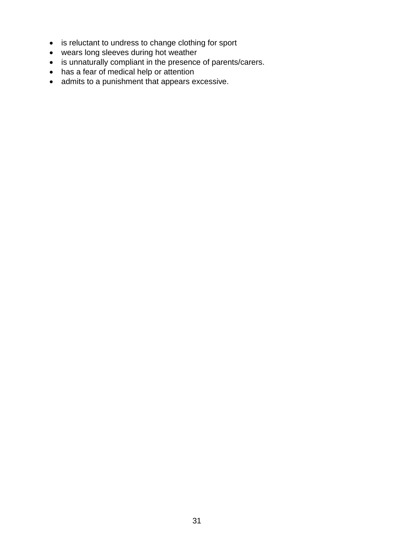- is reluctant to undress to change clothing for sport
- wears long sleeves during hot weather
- is unnaturally compliant in the presence of parents/carers.
- has a fear of medical help or attention
- admits to a punishment that appears excessive.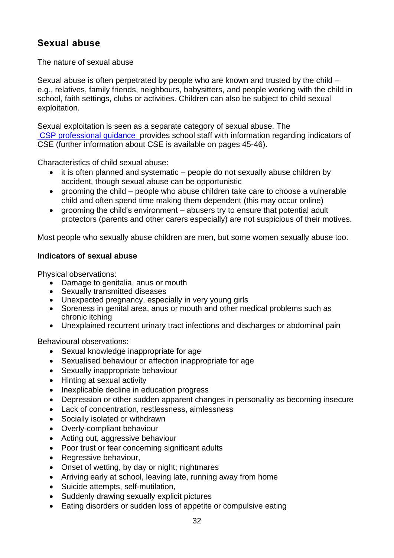# **Sexual abuse**

The nature of sexual abuse

Sexual abuse is often perpetrated by people who are known and trusted by the child – e.g., relatives, family friends, neighbours, babysitters, and people working with the child in school, faith settings, clubs or activities. Children can also be subject to child sexual exploitation.

Sexual exploitation is seen as a separate category of sexual abuse. The CSP professional guidance provides school staff with information regarding indicators of CSE (further information about CSE is available on pages 45-46).

Characteristics of child sexual abuse:

- it is often planned and systematic people do not sexually abuse children by accident, though sexual abuse can be opportunistic
- grooming the child people who abuse children take care to choose a vulnerable child and often spend time making them dependent (this may occur online)
- grooming the child's environment abusers try to ensure that potential adult protectors (parents and other carers especially) are not suspicious of their motives.

Most people who sexually abuse children are men, but some women sexually abuse too.

#### **Indicators of sexual abuse**

Physical observations:

- Damage to genitalia, anus or mouth
- Sexually transmitted diseases
- Unexpected pregnancy, especially in very young girls
- Soreness in genital area, anus or mouth and other medical problems such as chronic itching
- Unexplained recurrent urinary tract infections and discharges or abdominal pain

Behavioural observations:

- Sexual knowledge inappropriate for age
- Sexualised behaviour or affection inappropriate for age
- Sexually inappropriate behaviour
- Hinting at sexual activity
- Inexplicable decline in education progress
- Depression or other sudden apparent changes in personality as becoming insecure
- Lack of concentration, restlessness, aimlessness
- Socially isolated or withdrawn
- Overly-compliant behaviour
- Acting out, aggressive behaviour
- Poor trust or fear concerning significant adults
- Regressive behaviour,
- Onset of wetting, by day or night; nightmares
- Arriving early at school, leaving late, running away from home
- Suicide attempts, self-mutilation,
- Suddenly drawing sexually explicit pictures
- Eating disorders or sudden loss of appetite or compulsive eating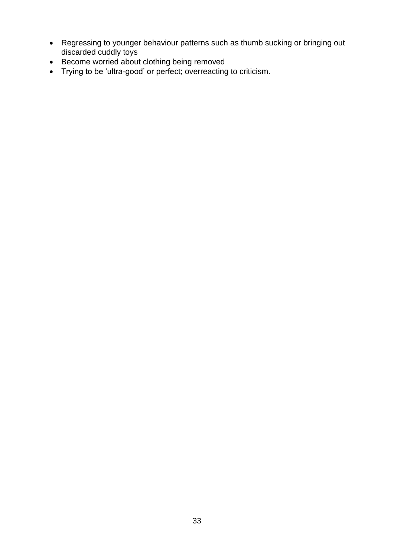- Regressing to younger behaviour patterns such as thumb sucking or bringing out discarded cuddly toys
- Become worried about clothing being removed
- Trying to be 'ultra-good' or perfect; overreacting to criticism.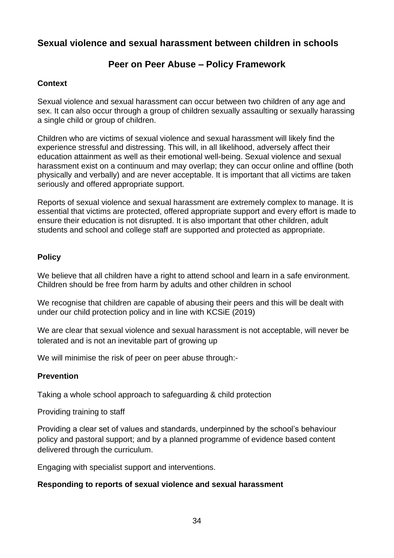# **Sexual violence and sexual harassment between children in schools**

### **Peer on Peer Abuse – Policy Framework**

#### **Context**

Sexual violence and sexual harassment can occur between two children of any age and sex. It can also occur through a group of children sexually assaulting or sexually harassing a single child or group of children.

Children who are victims of sexual violence and sexual harassment will likely find the experience stressful and distressing. This will, in all likelihood, adversely affect their education attainment as well as their emotional well-being. Sexual violence and sexual harassment exist on a continuum and may overlap; they can occur online and offline (both physically and verbally) and are never acceptable. It is important that all victims are taken seriously and offered appropriate support.

Reports of sexual violence and sexual harassment are extremely complex to manage. It is essential that victims are protected, offered appropriate support and every effort is made to ensure their education is not disrupted. It is also important that other children, adult students and school and college staff are supported and protected as appropriate.

#### **Policy**

We believe that all children have a right to attend school and learn in a safe environment. Children should be free from harm by adults and other children in school

We recognise that children are capable of abusing their peers and this will be dealt with under our child protection policy and in line with KCSiE (2019)

We are clear that sexual violence and sexual harassment is not acceptable, will never be tolerated and is not an inevitable part of growing up

We will minimise the risk of peer on peer abuse through:-

#### **Prevention**

Taking a whole school approach to safeguarding & child protection

Providing training to staff

Providing a clear set of values and standards, underpinned by the school's behaviour policy and pastoral support; and by a planned programme of evidence based content delivered through the curriculum.

Engaging with specialist support and interventions.

#### **Responding to reports of sexual violence and sexual harassment**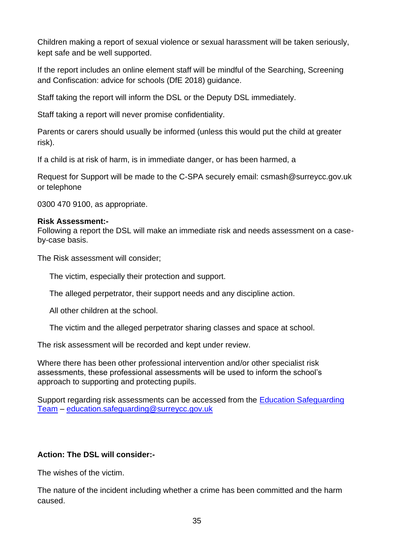Children making a report of sexual violence or sexual harassment will be taken seriously, kept safe and be well supported.

If the report includes an online element staff will be mindful of the Searching, Screening and Confiscation: advice for schools (DfE 2018) guidance.

Staff taking the report will inform the DSL or the Deputy DSL immediately.

Staff taking a report will never promise confidentiality.

Parents or carers should usually be informed (unless this would put the child at greater risk).

If a child is at risk of harm, is in immediate danger, or has been harmed, a

Request for Support will be made to the C-SPA securely email: csmash@surreycc.gov.uk or telephone

0300 470 9100, as appropriate.

#### **Risk Assessment:-**

Following a report the DSL will make an immediate risk and needs assessment on a caseby-case basis.

The Risk assessment will consider;

The victim, especially their protection and support.

The alleged perpetrator, their support needs and any discipline action.

All other children at the school.

The victim and the alleged perpetrator sharing classes and space at school.

The risk assessment will be recorded and kept under review.

Where there has been other professional intervention and/or other specialist risk assessments, these professional assessments will be used to inform the school's approach to supporting and protecting pupils.

Support regarding risk assessments can be accessed from the [Education Safeguarding](https://www.surreycc.gov.uk/schools-and-learning/teachers-and-education-staff/educational-advice-and-support-for-teachers/education-safeguarding-in-surrey-schools-and-learning)  [Team](https://www.surreycc.gov.uk/schools-and-learning/teachers-and-education-staff/educational-advice-and-support-for-teachers/education-safeguarding-in-surrey-schools-and-learning) – [education.safeguarding@surreycc.gov.uk](mailto:education.safeguarding@surreycc.gov.uk)

#### **Action: The DSL will consider:-**

The wishes of the victim.

The nature of the incident including whether a crime has been committed and the harm caused.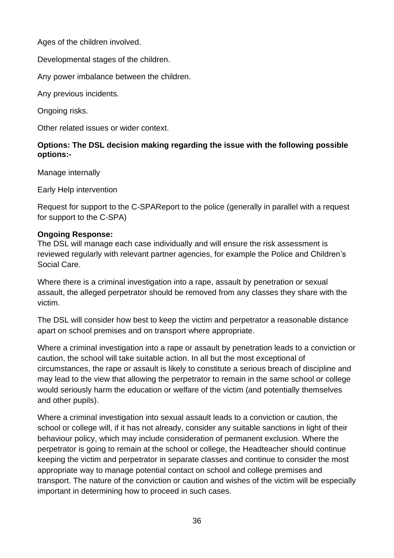Ages of the children involved.

Developmental stages of the children.

Any power imbalance between the children.

Any previous incidents.

Ongoing risks.

Other related issues or wider context.

### **Options: The DSL decision making regarding the issue with the following possible options:-**

Manage internally

Early Help intervention

Request for support to the C-SPAReport to the police (generally in parallel with a request for support to the C-SPA)

### **Ongoing Response:**

The DSL will manage each case individually and will ensure the risk assessment is reviewed regularly with relevant partner agencies, for example the Police and Children's Social Care.

Where there is a criminal investigation into a rape, assault by penetration or sexual assault, the alleged perpetrator should be removed from any classes they share with the victim.

The DSL will consider how best to keep the victim and perpetrator a reasonable distance apart on school premises and on transport where appropriate.

Where a criminal investigation into a rape or assault by penetration leads to a conviction or caution, the school will take suitable action. In all but the most exceptional of circumstances, the rape or assault is likely to constitute a serious breach of discipline and may lead to the view that allowing the perpetrator to remain in the same school or college would seriously harm the education or welfare of the victim (and potentially themselves and other pupils).

Where a criminal investigation into sexual assault leads to a conviction or caution, the school or college will, if it has not already, consider any suitable sanctions in light of their behaviour policy, which may include consideration of permanent exclusion. Where the perpetrator is going to remain at the school or college, the Headteacher should continue keeping the victim and perpetrator in separate classes and continue to consider the most appropriate way to manage potential contact on school and college premises and transport. The nature of the conviction or caution and wishes of the victim will be especially important in determining how to proceed in such cases.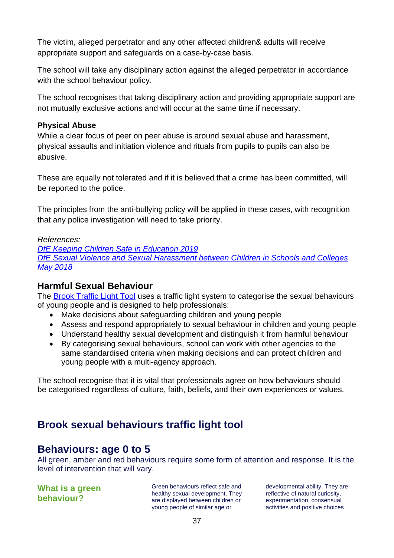The victim, alleged perpetrator and any other affected children& adults will receive appropriate support and safeguards on a case-by-case basis.

The school will take any disciplinary action against the alleged perpetrator in accordance with the school behaviour policy.

The school recognises that taking disciplinary action and providing appropriate support are not mutually exclusive actions and will occur at the same time if necessary.

#### **Physical Abuse**

While a clear focus of peer on peer abuse is around sexual abuse and harassment, physical assaults and initiation violence and rituals from pupils to pupils can also be abusive.

These are equally not tolerated and if it is believed that a crime has been committed, will be reported to the police.

The principles from the anti-bullying policy will be applied in these cases, with recognition that any police investigation will need to take priority.

### *References:*

*DfE Keeping Children Safe in Education 2019 DfE Sexual Violence and Sexual Harassment between Children in Schools and Colleges May 2018*

# **Harmful Sexual Behaviour**

The [Brook Traffic Light Tool](https://www.brook.org.uk/our-work/the-sexual-behaviours-traffic-light-tool) uses a traffic light system to categorise the sexual behaviours of young people and is designed to help professionals:

- Make decisions about safeguarding children and young people
- Assess and respond appropriately to sexual behaviour in children and young people
- Understand healthy sexual development and distinguish it from harmful behaviour
- By categorising sexual behaviours, school can work with other agencies to the same standardised criteria when making decisions and can protect children and young people with a multi-agency approach.

The school recognise that it is vital that professionals agree on how behaviours should be categorised regardless of culture, faith, beliefs, and their own experiences or values.

# **Brook sexual behaviours traffic light tool**

# **Behaviours: age 0 to 5**

All green, amber and red behaviours require some form of attention and response. It is the level of intervention that will vary.

**What is a green behaviour?**

Green behaviours reflect safe and healthy sexual development. They are displayed between children or young people of similar age or

developmental ability. They are reflective of natural curiosity, experimentation, consensual activities and positive choices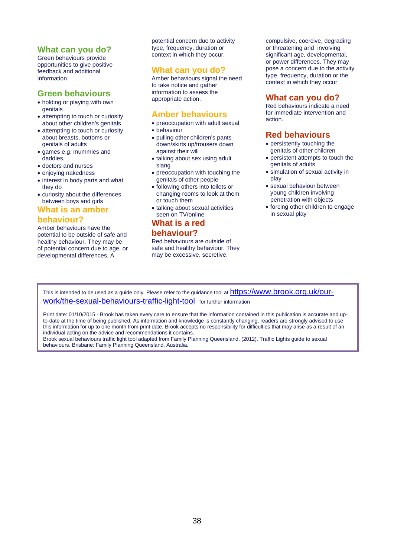#### **What can you do?**

Green behaviours provide opportunities to give positive feedback and additional information.

#### **Green behaviours**

- holding or playing with own genitals
- attempting to touch or curiosity about other children's genitals
- attempting to touch or curiosity about breasts, bottoms or genitals of adults
- games e.g. mummies and daddies,
- doctors and nurses
- enjoying nakedness
- interest in body parts and what they do
- curiosity about the differences between boys and girls

#### **What is an amber**

#### **behaviour?**

Amber behaviours have the potential to be outside of safe and healthy behaviour. They may be of potential concern due to age, or developmental differences. A

potential concern due to activity type, frequency, duration or context in which they occur.

#### **What can you do?**

Amber behaviours signal the need to take notice and gather information to assess the appropriate action.

#### **Amber behaviours**

- preoccupation with adult sexual
- behaviour
- pulling other children's pants down/skirts up/trousers down against their will
- talking about sex using adult slang
- preoccupation with touching the genitals of other people
- following others into toilets or changing rooms to look at them or touch them
- talking about sexual activities seen on TV/online

#### **What is a red**

#### **behaviour?**

Red behaviours are outside of safe and healthy behaviour. They may be excessive, secretive,

compulsive, coercive, degrading or threatening and involving significant age, developmental, or power differences. They may pose a concern due to the activity type, frequency, duration or the context in which they occur

#### **What can you do?**

Red behaviours indicate a need for immediate intervention and action.

### **Red behaviours**

- persistently touching the genitals of other children
- persistent attempts to touch the genitals of adults
- simulation of sexual activity in play
- sexual behaviour between young children involving penetration with objects
- forcing other children to engage in sexual play

This is intended to be used as a guide only. Please refer to the guidance tool at **[https://www.brook.org.uk/our](https://www.brook.org.uk/our-work/the-sexual-behaviours-traffic-light-tool)**[work/the-sexual-behaviours-traffic-light-tool](https://www.brook.org.uk/our-work/the-sexual-behaviours-traffic-light-tool) for further information

Print date: 01/10/2015 - Brook has taken every care to ensure that the information contained in this publication is accurate and upto-date at the time of being published. As information and knowledge is constantly changing, readers are strongly advised to use this information for up to one month from print date. Brook accepts no responsibility for difficulties that may arise as a result of an individual acting on the advice and recommendations it contains. Brook sexual behaviours traffic light tool adapted from Family Planning Queensland. (2012). Traffic Lights guide to sexual

behaviours. Brisbane: Family Planning Queensland, Australia.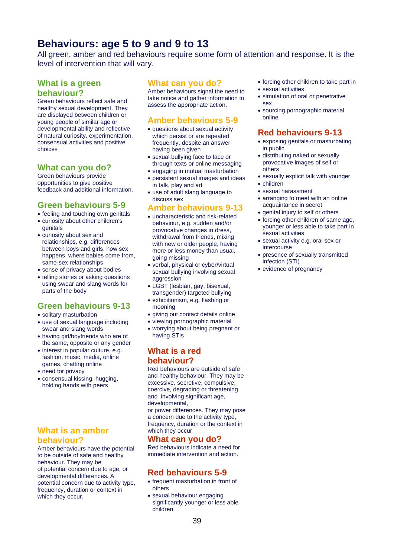# **Behaviours: age 5 to 9 and 9 to 13**

All green, amber and red behaviours require some form of attention and response. It is the level of intervention that will vary.

#### **What is a green behaviour?**

Green behaviours reflect safe and healthy sexual development. They are displayed between children or young people of similar age or developmental ability and reflective of natural curiosity, experimentation, consensual activities and positive choices

#### **What can you do?**

Green behaviours provide opportunities to give positive feedback and additional information.

### **Green behaviours 5-9**

- feeling and touching own genitals
- curiosity about other children's genitals
- curiosity about sex and relationships, e.g. differences between boys and girls, how sex happens, where babies come from, same-sex relationships
- sense of privacy about bodies
- telling stories or asking questions using swear and slang words for parts of the body

#### **Green behaviours 9-13**

- solitary masturbation
- use of sexual language including swear and slang words
- having girl/boyfriends who are of the same, opposite or any gender
- interest in popular culture, e.g. fashion, music, media, online games, chatting online
- need for privacy
- consensual kissing, hugging, holding hands with peers

#### **What is an amber behaviour?**

Amber behaviours have the potential to be outside of safe and healthy behaviour. They may be of potential concern due to age, or developmental differences. A potential concern due to activity type, frequency, duration or context in which they occur.

#### **What can you do?**

Amber behaviours signal the need to take notice and gather information to assess the appropriate action.

### **Amber behaviours 5-9**

- questions about sexual activity which persist or are repeated frequently, despite an answer having been given
- sexual bullying face to face or through texts or online messaging
- engaging in mutual masturbation • persistent sexual images and ideas in talk, play and art
- use of adult slang language to discuss sex

#### **Amber behaviours 9-13**

- uncharacteristic and risk-related behaviour, e.g. sudden and/or provocative changes in dress, withdrawal from friends, mixing with new or older people, having more or less money than usual, going missing
- verbal, physical or cyber/virtual sexual bullying involving sexual aggression
- LGBT (lesbian, gay, bisexual, transgender) targeted bullying
- exhibitionism, e.g. flashing or mooning
- giving out contact details online
- viewing pornographic material
- worrying about being pregnant or having STIs

#### **What is a red behaviour?**

Red behaviours are outside of safe and healthy behaviour. They may be excessive, secretive, compulsive, coercive, degrading or threatening and involving significant age, developmental,

or power differences. They may pose a concern due to the activity type, frequency, duration or the context in which they occur

#### **What can you do?**

Red behaviours indicate a need for immediate intervention and action.

### **Red behaviours 5-9**

- frequent masturbation in front of others
- sexual behaviour engaging significantly younger or less able children
- forcing other children to take part in
- sexual activities
- simulation of oral or penetrative sex
- sourcing pornographic material online

### **Red behaviours 9-13**

- exposing genitals or masturbating in public
- distributing naked or sexually provocative images of self or others
- sexually explicit talk with younger
- children
- sexual harassment
- arranging to meet with an online acquaintance in secret
- genital injury to self or others
- forcing other children of same age, younger or less able to take part in sexual activities
- sexual activity e.g. oral sex or intercourse
- presence of sexually transmitted infection (STI)
- evidence of pregnancy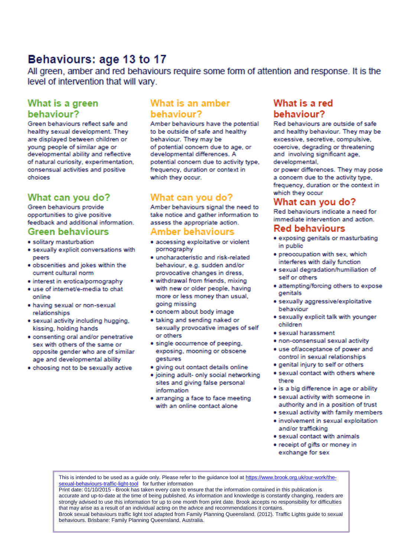# Behaviours: age 13 to 17

All green, amber and red behaviours require some form of attention and response. It is the level of intervention that will vary.

# What is a green behaviour?

Green behaviours reflect safe and healthy sexual development. They are displayed between children or young people of similar age or developmental ability and reflective of natural curiosity, experimentation, consensual activities and positive choices

# What can you do?

Green behaviours provide opportunities to give positive feedback and additional information.

#### **Green behaviours**

- · solitary masturbation
- · sexually explicit conversations with peers
- · obscenities and jokes within the current cultural norm
- · interest in erotica/pornography
- · use of internet/e-media to chat online
- · having sexual or non-sexual relationships
- · sexual activity including hugging, kissing, holding hands
- · consenting oral and/or penetrative sex with others of the same or opposite gender who are of similar age and developmental ability
- . choosing not to be sexually active

### What is an amber behaviour?

Amber behaviours have the potential to be outside of safe and healthy behaviour. They may be of potential concern due to age, or developmental differences. A potential concern due to activity type, frequency, duration or context in which they occur.

### What can you do?

Amber behaviours signal the need to take notice and gather information to assess the appropriate action.

#### Amber behaviours

- · accessing exploitative or violent pornography
- · uncharacteristic and risk-related behaviour, e.g. sudden and/or provocative changes in dress.
- · withdrawal from friends, mixing with new or older people, having more or less money than usual, going missing
- · concern about body image
- · taking and sending naked or sexually provocative images of self or others
- · single occurrence of peeping, exposing, mooning or obscene gestures
- · giving out contact details online
- · joining adult- only social networking sites and giving false personal information
- · arranging a face to face meeting with an online contact alone

# What is a red behaviour?

Red behaviours are outside of safe and healthy behaviour. They may be excessive, secretive, compulsive, coercive, degrading or threatening and involving significant age, developmental,

or power differences. They may pose a concern due to the activity type. frequency, duration or the context in which they occur

### What can vou do?

Red behaviours indicate a need for immediate intervention and action.

#### **Red behaviours**

- · exposing genitals or masturbating in public
- · preoccupation with sex, which interferes with daily function
- · sexual degradation/humiliation of self or others
- · attempting/forcing others to expose genitals
- · sexually aggressive/exploitative behaviour
- · sexually explicit talk with younger children
- · sexual harassment
- · non-consensual sexual activity
- · use of/acceptance of power and control in sexual relationships
- · genital injury to self or others
- · sexual contact with others where there
- · is a big difference in age or ability
- · sexual activity with someone in authority and in a position of trust
- · sexual activity with family members
- · involvement in sexual exploitation and/or trafficking
- · sexual contact with animals
- · receipt of gifts or money in exchange for sex

This is intended to be used as a guide only. Please refer to the guidance tool a[t https://www.brook.org.uk/our-work/the](https://www.brook.org.uk/our-work/the-sexual-behaviours-traffic-light-tool)[sexual-behaviours-traffic-light-tool](https://www.brook.org.uk/our-work/the-sexual-behaviours-traffic-light-tool) for further information

40 behaviours. Brisbane: Family Planning Queensland, Australia.Print date: 01/10/2015 - Brook has taken every care to ensure that the information contained in this publication is accurate and up-to-date at the time of being published. As information and knowledge is constantly changing, readers are strongly advised to use this information for up to one month from print date. Brook accepts no responsibility for difficulties that may arise as a result of an individual acting on the advice and recommendations it contains. Brook sexual behaviours traffic light tool adapted from Family Planning Queensland. (2012). Traffic Lights guide to sexual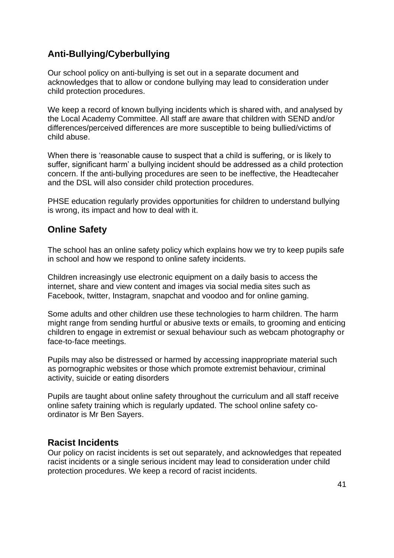# <sup>f</sup>**Anti-Bullying/Cyberbullying**

Our school policy on anti-bullying is set out in a separate document and acknowledges that to allow or condone bullying may lead to consideration under child protection procedures.

We keep a record of known bullying incidents which is shared with, and analysed by the Local Academy Committee. All staff are aware that children with SEND and/or differences/perceived differences are more susceptible to being bullied/victims of child abuse.

When there is 'reasonable cause to suspect that a child is suffering, or is likely to suffer, significant harm' a bullying incident should be addressed as a child protection concern. If the anti-bullying procedures are seen to be ineffective, the Headtecaher and the DSL will also consider child protection procedures.

PHSE education regularly provides opportunities for children to understand bullying is wrong, its impact and how to deal with it.

# **Online Safety**

The school has an online safety policy which explains how we try to keep pupils safe in school and how we respond to online safety incidents.

Children increasingly use electronic equipment on a daily basis to access the internet, share and view content and images via social media sites such as Facebook, twitter, Instagram, snapchat and voodoo and for online gaming.

Some adults and other children use these technologies to harm children. The harm might range from sending hurtful or abusive texts or emails, to grooming and enticing children to engage in extremist or sexual behaviour such as webcam photography or face-to-face meetings.

Pupils may also be distressed or harmed by accessing inappropriate material such as pornographic websites or those which promote extremist behaviour, criminal activity, suicide or eating disorders

Pupils are taught about online safety throughout the curriculum and all staff receive online safety training which is regularly updated. The school online safety coordinator is Mr Ben Sayers.

### **Racist Incidents**

Our policy on racist incidents is set out separately, and acknowledges that repeated racist incidents or a single serious incident may lead to consideration under child protection procedures. We keep a record of racist incidents.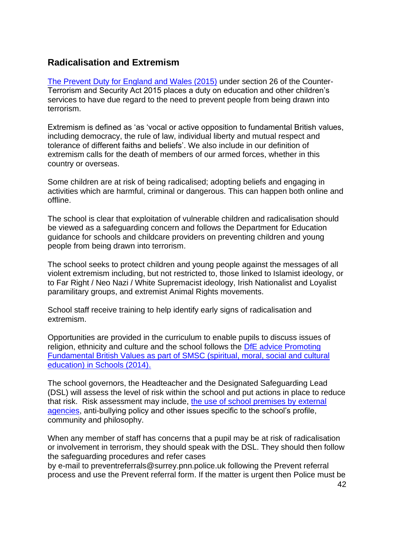## **Radicalisation and Extremism**

[The Prevent Duty for England and Wales \(2015\)](https://www.gov.uk/government/publications/protecting-children-from-radicalisation-the-prevent-duty) under section 26 of the Counter-Terrorism and Security Act 2015 places a duty on education and other children's services to have due regard to the need to prevent people from being drawn into terrorism.

Extremism is defined as 'as 'vocal or active opposition to fundamental British values, including democracy, the rule of law, individual liberty and mutual respect and tolerance of different faiths and beliefs'. We also include in our definition of extremism calls for the death of members of our armed forces, whether in this country or overseas.

Some children are at risk of being radicalised; adopting beliefs and engaging in activities which are harmful, criminal or dangerous. This can happen both online and offline.

The school is clear that exploitation of vulnerable children and radicalisation should be viewed as a safeguarding concern and follows the Department for Education guidance for schools and childcare providers on preventing children and young people from being drawn into terrorism.

The school seeks to protect children and young people against the messages of all violent extremism including, but not restricted to, those linked to Islamist ideology, or to Far Right / Neo Nazi / White Supremacist ideology, Irish Nationalist and Loyalist paramilitary groups, and extremist Animal Rights movements.

School staff receive training to help identify early signs of radicalisation and extremism.

Opportunities are provided in the curriculum to enable pupils to discuss issues of religion, ethnicity and culture and the school follows the [DfE advice Promoting](https://www.gov.uk/government/news/guidance-on-promoting-british-values-in-schools-published)  [Fundamental British Values as part of SMSC \(spiritual, moral, social and cultural](https://www.gov.uk/government/news/guidance-on-promoting-british-values-in-schools-published)  [education\) in Schools \(2014\).](https://www.gov.uk/government/news/guidance-on-promoting-british-values-in-schools-published)

The school governors, the Headteacher and the Designated Safeguarding Lead (DSL) will assess the level of risk within the school and put actions in place to reduce that risk. Risk assessment may include, [the use of school premises by external](https://www.surreycc.gov.uk/schools-and-learning/teachers-and-education-staff/educational-advice-and-support-for-teachers/education-safeguarding-in-surrey-schools-and-learning/safeguarding-children-in-education-policies-procedures-and-guidance)  [agencies,](https://www.surreycc.gov.uk/schools-and-learning/teachers-and-education-staff/educational-advice-and-support-for-teachers/education-safeguarding-in-surrey-schools-and-learning/safeguarding-children-in-education-policies-procedures-and-guidance) anti-bullying policy and other issues specific to the school's profile, community and philosophy.

When any member of staff has concerns that a pupil may be at risk of radicalisation or involvement in terrorism, they should speak with the DSL. They should then follow the safeguarding procedures and refer cases

by e-mail to preventreferrals@surrey.pnn.police.uk following the Prevent referral process and use the Prevent referral form. If the matter is urgent then Police must be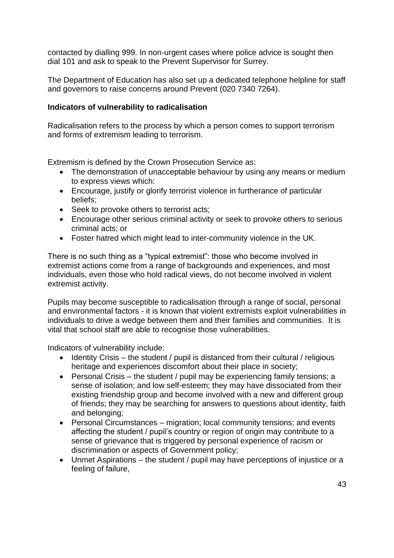contacted by dialling 999. In non-urgent cases where police advice is sought then dial 101 and ask to speak to the Prevent Supervisor for Surrey.

The Department of Education has also set up a dedicated telephone helpline for staff and governors to raise concerns around Prevent (020 7340 7264).

#### **Indicators of vulnerability to radicalisation**

Radicalisation refers to the process by which a person comes to support terrorism and forms of extremism leading to terrorism.

Extremism is defined by the Crown Prosecution Service as:

- The demonstration of unacceptable behaviour by using any means or medium to express views which:
- Encourage, justify or glorify terrorist violence in furtherance of particular beliefs;
- Seek to provoke others to terrorist acts:
- Encourage other serious criminal activity or seek to provoke others to serious criminal acts; or
- Foster hatred which might lead to inter-community violence in the UK.

There is no such thing as a "typical extremist": those who become involved in extremist actions come from a range of backgrounds and experiences, and most individuals, even those who hold radical views, do not become involved in violent extremist activity.

Pupils may become susceptible to radicalisation through a range of social, personal and environmental factors - it is known that violent extremists exploit vulnerabilities in individuals to drive a wedge between them and their families and communities. It is vital that school staff are able to recognise those vulnerabilities.

Indicators of vulnerability include:

- Identity Crisis the student / pupil is distanced from their cultural / religious heritage and experiences discomfort about their place in society;
- Personal Crisis the student / pupil may be experiencing family tensions; a sense of isolation; and low self-esteem; they may have dissociated from their existing friendship group and become involved with a new and different group of friends; they may be searching for answers to questions about identity, faith and belonging;
- Personal Circumstances migration; local community tensions; and events affecting the student / pupil's country or region of origin may contribute to a sense of grievance that is triggered by personal experience of racism or discrimination or aspects of Government policy;
- Unmet Aspirations the student / pupil may have perceptions of injustice or a feeling of failure,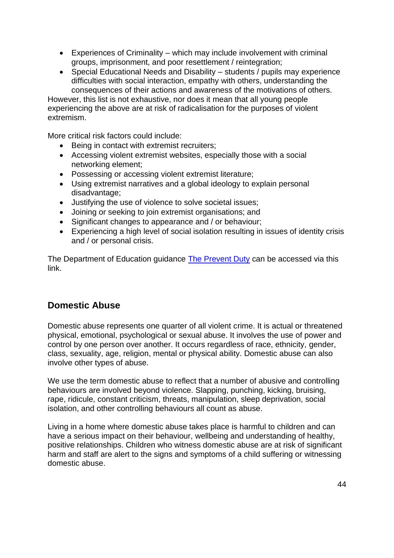- Experiences of Criminality which may include involvement with criminal groups, imprisonment, and poor resettlement / reintegration;
- Special Educational Needs and Disability students / pupils may experience difficulties with social interaction, empathy with others, understanding the consequences of their actions and awareness of the motivations of others.

However, this list is not exhaustive, nor does it mean that all young people experiencing the above are at risk of radicalisation for the purposes of violent extremism.

More critical risk factors could include:

- Being in contact with extremist recruiters;
- Accessing violent extremist websites, especially those with a social networking element;
- Possessing or accessing violent extremist literature;
- Using extremist narratives and a global ideology to explain personal disadvantage;
- Justifying the use of violence to solve societal issues;
- Joining or seeking to join extremist organisations; and
- Significant changes to appearance and / or behaviour;
- Experiencing a high level of social isolation resulting in issues of identity crisis and / or personal crisis.

The Department of Education guidance [The Prevent Duty](https://www.gov.uk/government/uploads/system/uploads/attachment_data/file/439598/prevent-duty-departmental-advice-v6.pdf) can be accessed via this link.

# **Domestic Abuse**

Domestic abuse represents one quarter of all violent crime. It is actual or threatened physical, emotional, psychological or sexual abuse. It involves the use of power and control by one person over another. It occurs regardless of race, ethnicity, gender, class, sexuality, age, religion, mental or physical ability. Domestic abuse can also involve other types of abuse.

We use the term domestic abuse to reflect that a number of abusive and controlling behaviours are involved beyond violence. Slapping, punching, kicking, bruising, rape, ridicule, constant criticism, threats, manipulation, sleep deprivation, social isolation, and other controlling behaviours all count as abuse.

Living in a home where domestic abuse takes place is harmful to children and can have a serious impact on their behaviour, wellbeing and understanding of healthy, positive relationships. Children who witness domestic abuse are at risk of significant harm and staff are alert to the signs and symptoms of a child suffering or witnessing domestic abuse.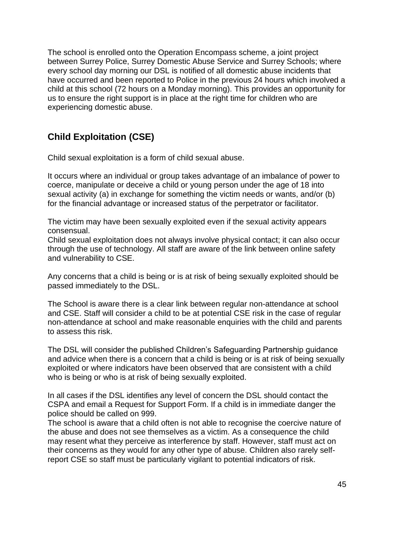The school is enrolled onto the Operation Encompass scheme, a joint project between Surrey Police, Surrey Domestic Abuse Service and Surrey Schools; where every school day morning our DSL is notified of all domestic abuse incidents that have occurred and been reported to Police in the previous 24 hours which involved a child at this school (72 hours on a Monday morning). This provides an opportunity for us to ensure the right support is in place at the right time for children who are experiencing domestic abuse.

# **Child Exploitation (CSE)**

Child sexual exploitation is a form of child sexual abuse.

It occurs where an individual or group takes advantage of an imbalance of power to coerce, manipulate or deceive a child or young person under the age of 18 into sexual activity (a) in exchange for something the victim needs or wants, and/or (b) for the financial advantage or increased status of the perpetrator or facilitator.

The victim may have been sexually exploited even if the sexual activity appears consensual.

Child sexual exploitation does not always involve physical contact; it can also occur through the use of technology. All staff are aware of the link between online safety and vulnerability to CSE.

Any concerns that a child is being or is at risk of being sexually exploited should be passed immediately to the DSL.

The School is aware there is a clear link between regular non-attendance at school and CSE. Staff will consider a child to be at potential CSE risk in the case of regular non-attendance at school and make reasonable enquiries with the child and parents to assess this risk.

The DSL will consider the published Children's Safeguarding Partnership guidance and advice when there is a concern that a child is being or is at risk of being sexually exploited or where indicators have been observed that are consistent with a child who is being or who is at risk of being sexually exploited.

In all cases if the DSL identifies any level of concern the DSL should contact the CSPA and email a Request for Support Form. If a child is in immediate danger the police should be called on 999.

The school is aware that a child often is not able to recognise the coercive nature of the abuse and does not see themselves as a victim. As a consequence the child may resent what they perceive as interference by staff. However, staff must act on their concerns as they would for any other type of abuse. Children also rarely selfreport CSE so staff must be particularly vigilant to potential indicators of risk.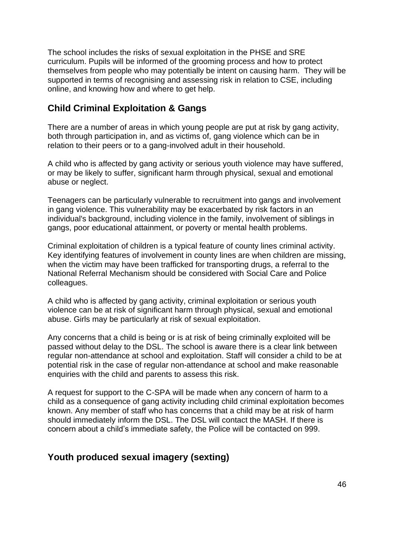The school includes the risks of sexual exploitation in the PHSE and SRE curriculum. Pupils will be informed of the grooming process and how to protect themselves from people who may potentially be intent on causing harm. They will be supported in terms of recognising and assessing risk in relation to CSE, including online, and knowing how and where to get help.

## **Child Criminal Exploitation & Gangs**

There are a number of areas in which young people are put at risk by gang activity, both through participation in, and as victims of, gang violence which can be in relation to their peers or to a gang-involved adult in their household.

A child who is affected by gang activity or serious youth violence may have suffered, or may be likely to suffer, significant harm through physical, sexual and emotional abuse or neglect.

Teenagers can be particularly vulnerable to recruitment into gangs and involvement in gang violence. This vulnerability may be exacerbated by risk factors in an individual's background, including violence in the family, involvement of siblings in gangs, poor educational attainment, or poverty or mental health problems.

Criminal exploitation of children is a typical feature of county lines criminal activity. Key identifying features of involvement in county lines are when children are missing, when the victim may have been trafficked for transporting drugs, a referral to the National Referral Mechanism should be considered with Social Care and Police colleagues.

A child who is affected by gang activity, criminal exploitation or serious youth violence can be at risk of significant harm through physical, sexual and emotional abuse. Girls may be particularly at risk of sexual exploitation.

Any concerns that a child is being or is at risk of being criminally exploited will be passed without delay to the DSL. The school is aware there is a clear link between regular non-attendance at school and exploitation. Staff will consider a child to be at potential risk in the case of regular non-attendance at school and make reasonable enquiries with the child and parents to assess this risk.

A request for support to the C-SPA will be made when any concern of harm to a child as a consequence of gang activity including child criminal exploitation becomes known. Any member of staff who has concerns that a child may be at risk of harm should immediately inform the DSL. The DSL will contact the MASH. If there is concern about a child's immediate safety, the Police will be contacted on 999.

# **Youth produced sexual imagery (sexting)**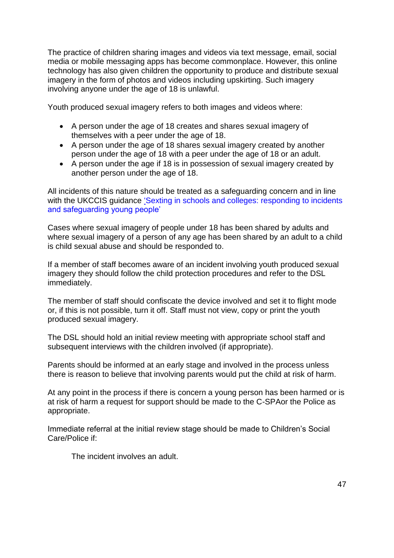The practice of children sharing images and videos via text message, email, social media or mobile messaging apps has become commonplace. However, this online technology has also given children the opportunity to produce and distribute sexual imagery in the form of photos and videos including upskirting. Such imagery involving anyone under the age of 18 is unlawful.

Youth produced sexual imagery refers to both images and videos where:

- A person under the age of 18 creates and shares sexual imagery of themselves with a peer under the age of 18.
- A person under the age of 18 shares sexual imagery created by another person under the age of 18 with a peer under the age of 18 or an adult.
- A person under the age if 18 is in possession of sexual imagery created by another person under the age of 18.

All incidents of this nature should be treated as a safeguarding concern and in line with the UKCCIS guidance 'Sexting in schools and colleges: responding to incidents [and safeguarding young people'](https://assets.publishing.service.gov.uk/government/uploads/system/uploads/attachment_data/file/609874/6_2939_SP_NCA_Sexting_In_Schools_FINAL_Update_Jan17.pdf)

Cases where sexual imagery of people under 18 has been shared by adults and where sexual imagery of a person of any age has been shared by an adult to a child is child sexual abuse and should be responded to.

If a member of staff becomes aware of an incident involving youth produced sexual imagery they should follow the child protection procedures and refer to the DSL immediately.

The member of staff should confiscate the device involved and set it to flight mode or, if this is not possible, turn it off. Staff must not view, copy or print the youth produced sexual imagery.

The DSL should hold an initial review meeting with appropriate school staff and subsequent interviews with the children involved (if appropriate).

Parents should be informed at an early stage and involved in the process unless there is reason to believe that involving parents would put the child at risk of harm.

At any point in the process if there is concern a young person has been harmed or is at risk of harm a request for support should be made to the C-SPAor the Police as appropriate.

Immediate referral at the initial review stage should be made to Children's Social Care/Police if:

The incident involves an adult.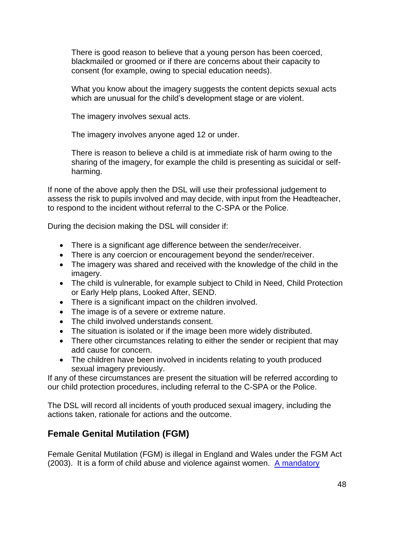There is good reason to believe that a young person has been coerced, blackmailed or groomed or if there are concerns about their capacity to consent (for example, owing to special education needs).

What you know about the imagery suggests the content depicts sexual acts which are unusual for the child's development stage or are violent.

The imagery involves sexual acts.

The imagery involves anyone aged 12 or under.

There is reason to believe a child is at immediate risk of harm owing to the sharing of the imagery, for example the child is presenting as suicidal or selfharming.

If none of the above apply then the DSL will use their professional judgement to assess the risk to pupils involved and may decide, with input from the Headteacher, to respond to the incident without referral to the C-SPA or the Police.

During the decision making the DSL will consider if:

- There is a significant age difference between the sender/receiver.
- There is any coercion or encouragement beyond the sender/receiver.
- The imagery was shared and received with the knowledge of the child in the imagery.
- The child is vulnerable, for example subject to Child in Need, Child Protection or Early Help plans, Looked After, SEND.
- There is a significant impact on the children involved.
- The image is of a severe or extreme nature.
- The child involved understands consent.
- The situation is isolated or if the image been more widely distributed.
- There other circumstances relating to either the sender or recipient that may add cause for concern.
- The children have been involved in incidents relating to youth produced sexual imagery previously.

If any of these circumstances are present the situation will be referred according to our child protection procedures, including referral to the C-SPA or the Police.

The DSL will record all incidents of youth produced sexual imagery, including the actions taken, rationale for actions and the outcome.

# **Female Genital Mutilation (FGM)**

Female Genital Mutilation (FGM) is illegal in England and Wales under the FGM Act (2003). It is a form of child abuse and violence against women. [A mandatory](https://www.gov.uk/government/publications/mandatory-reporting-of-female-genital-mutilation-procedural-information)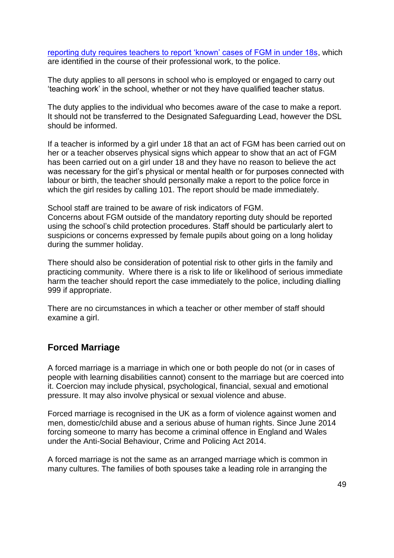[reporting duty requires teachers to report 'known' cases of FGM in under 18s,](https://www.gov.uk/government/publications/mandatory-reporting-of-female-genital-mutilation-procedural-information) which are identified in the course of their professional work, to the police.

The duty applies to all persons in school who is employed or engaged to carry out 'teaching work' in the school, whether or not they have qualified teacher status.

The duty applies to the individual who becomes aware of the case to make a report. It should not be transferred to the Designated Safeguarding Lead, however the DSL should be informed.

If a teacher is informed by a girl under 18 that an act of FGM has been carried out on her or a teacher observes physical signs which appear to show that an act of FGM has been carried out on a girl under 18 and they have no reason to believe the act was necessary for the girl's physical or mental health or for purposes connected with labour or birth, the teacher should personally make a report to the police force in which the girl resides by calling 101. The report should be made immediately.

School staff are trained to be aware of risk indicators of FGM. Concerns about FGM outside of the mandatory reporting duty should be reported using the school's child protection procedures. Staff should be particularly alert to suspicions or concerns expressed by female pupils about going on a long holiday during the summer holiday.

There should also be consideration of potential risk to other girls in the family and practicing community. Where there is a risk to life or likelihood of serious immediate harm the teacher should report the case immediately to the police, including dialling 999 if appropriate.

There are no circumstances in which a teacher or other member of staff should examine a girl.

### **Forced Marriage**

A forced marriage is a marriage in which one or both people do not (or in cases of people with learning disabilities cannot) consent to the marriage but are coerced into it. Coercion may include physical, psychological, financial, sexual and emotional pressure. It may also involve physical or sexual violence and abuse.

Forced marriage is recognised in the UK as a form of violence against women and men, domestic/child abuse and a serious abuse of human rights. Since June 2014 forcing someone to marry has become a criminal offence in England and Wales under the Anti-Social Behaviour, Crime and Policing Act 2014.

A forced marriage is not the same as an arranged marriage which is common in many cultures. The families of both spouses take a leading role in arranging the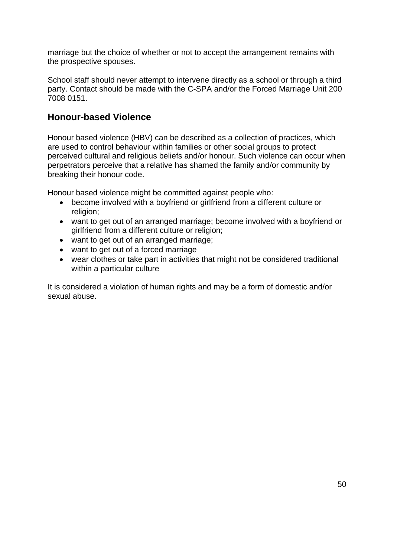marriage but the choice of whether or not to accept the arrangement remains with the prospective spouses.

School staff should never attempt to intervene directly as a school or through a third party. Contact should be made with the C-SPA and/or the Forced Marriage Unit 200 7008 0151.

# **Honour-based Violence**

Honour based violence (HBV) can be described as a collection of practices, which are used to control behaviour within families or other social groups to protect perceived cultural and religious beliefs and/or honour. Such violence can occur when perpetrators perceive that a relative has shamed the family and/or community by breaking their honour code.

Honour based violence might be committed against people who:

- become involved with a boyfriend or girlfriend from a different culture or religion:
- want to get out of an arranged marriage; become involved with a boyfriend or girlfriend from a different culture or religion;
- want to get out of an arranged marriage;
- want to get out of a forced marriage
- wear clothes or take part in activities that might not be considered traditional within a particular culture

It is considered a violation of human rights and may be a form of domestic and/or sexual abuse.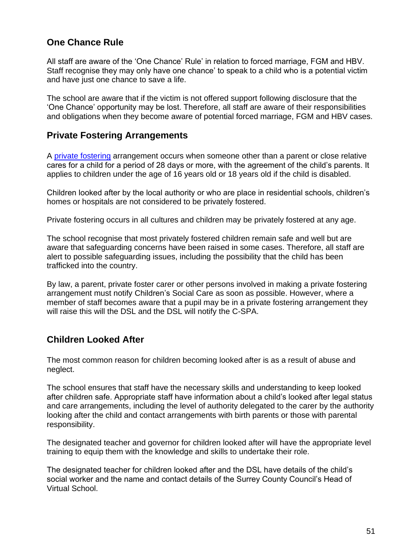# **One Chance Rule**

All staff are aware of the 'One Chance' Rule' in relation to forced marriage, FGM and HBV. Staff recognise they may only have one chance' to speak to a child who is a potential victim and have just one chance to save a life.

The school are aware that if the victim is not offered support following disclosure that the 'One Chance' opportunity may be lost. Therefore, all staff are aware of their responsibilities and obligations when they become aware of potential forced marriage, FGM and HBV cases.

# **Private Fostering Arrangements**

A [private fostering](https://www.surreycc.gov.uk/__data/assets/pdf_file/0008/157769/Private-Fostering-A-guide-for-DSLs.pdf) arrangement occurs when someone other than a parent or close relative cares for a child for a period of 28 days or more, with the agreement of the child's parents. It applies to children under the age of 16 years old or 18 years old if the child is disabled.

Children looked after by the local authority or who are place in residential schools, children's homes or hospitals are not considered to be privately fostered.

Private fostering occurs in all cultures and children may be privately fostered at any age.

The school recognise that most privately fostered children remain safe and well but are aware that safeguarding concerns have been raised in some cases. Therefore, all staff are alert to possible safeguarding issues, including the possibility that the child has been trafficked into the country.

By law, a parent, private foster carer or other persons involved in making a private fostering arrangement must notify Children's Social Care as soon as possible. However, where a member of staff becomes aware that a pupil may be in a private fostering arrangement they will raise this will the DSL and the DSL will notify the C-SPA.

# **Children Looked After**

The most common reason for children becoming looked after is as a result of abuse and neglect.

The school ensures that staff have the necessary skills and understanding to keep looked after children safe. Appropriate staff have information about a child's looked after legal status and care arrangements, including the level of authority delegated to the carer by the authority looking after the child and contact arrangements with birth parents or those with parental responsibility.

The designated teacher and governor for children looked after will have the appropriate level training to equip them with the knowledge and skills to undertake their role.

The designated teacher for children looked after and the DSL have details of the child's social worker and the name and contact details of the Surrey County Council's Head of Virtual School.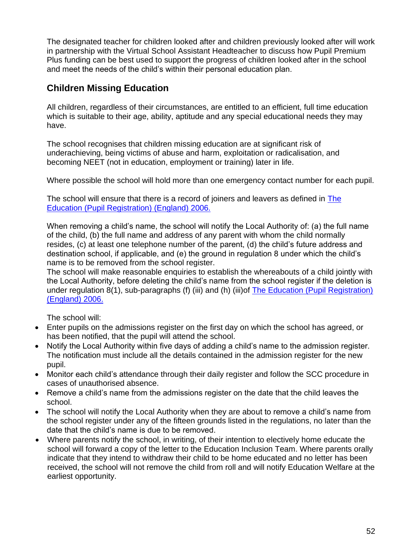The designated teacher for children looked after and children previously looked after will work in partnership with the Virtual School Assistant Headteacher to discuss how Pupil Premium Plus funding can be best used to support the progress of children looked after in the school and meet the needs of the child's within their personal education plan.

# **Children Missing Education**

All children, regardless of their circumstances, are entitled to an efficient, full time education which is suitable to their age, ability, aptitude and any special educational needs they may have.

The school recognises that children missing education are at significant risk of underachieving, being victims of abuse and harm, exploitation or radicalisation, and becoming NEET (not in education, employment or training) later in life.

Where possible the school will hold more than one emergency contact number for each pupil.

The school will ensure that there is a record of joiners and leavers as defined in [The](https://www.kelsi.org.uk/news-and-events/news/primary/changes-to-the-education-pupil-registration-england-regulations-2006)  [Education \(Pupil Registration\) \(England\) 2006.](https://www.kelsi.org.uk/news-and-events/news/primary/changes-to-the-education-pupil-registration-england-regulations-2006)

When removing a child's name, the school will notify the Local Authority of: (a) the full name of the child, (b) the full name and address of any parent with whom the child normally resides, (c) at least one telephone number of the parent, (d) the child's future address and destination school, if applicable, and (e) the ground in regulation 8 under which the child's name is to be removed from the school register.

The school will make reasonable enquiries to establish the whereabouts of a child jointly with the Local Authority, before deleting the child's name from the school register if the deletion is under regulation 8(1), sub-paragraphs (f) (iii) and (h) (iii)of [The Education \(Pupil Registration\)](https://www.kelsi.org.uk/news-and-events/news/primary/changes-to-the-education-pupil-registration-england-regulations-2006)  [\(England\) 2006.](https://www.kelsi.org.uk/news-and-events/news/primary/changes-to-the-education-pupil-registration-england-regulations-2006)

The school will:

- Enter pupils on the admissions register on the first day on which the school has agreed, or has been notified, that the pupil will attend the school.
- Notify the Local Authority within five days of adding a child's name to the admission register. The notification must include all the details contained in the admission register for the new pupil.
- Monitor each child's attendance through their daily register and follow the SCC procedure in cases of unauthorised absence.
- Remove a child's name from the admissions register on the date that the child leaves the school.
- The school will notify the Local Authority when they are about to remove a child's name from the school register under any of the fifteen grounds listed in the regulations, no later than the date that the child's name is due to be removed.
- Where parents notify the school, in writing, of their intention to electively home educate the school will forward a copy of the letter to the Education Inclusion Team. Where parents orally indicate that they intend to withdraw their child to be home educated and no letter has been received, the school will not remove the child from roll and will notify Education Welfare at the earliest opportunity.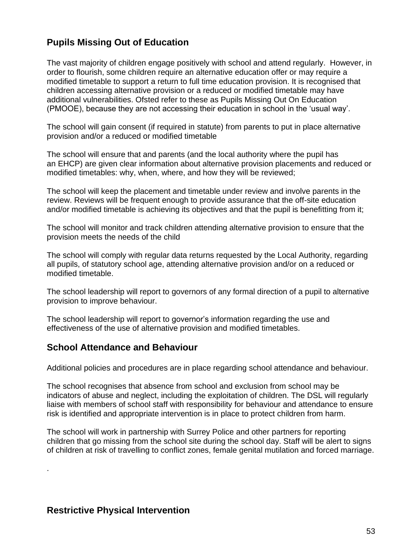# **Pupils Missing Out of Education**

The vast majority of children engage positively with school and attend regularly. However, in order to flourish, some children require an alternative education offer or may require a modified timetable to support a return to full time education provision. It is recognised that children accessing alternative provision or a reduced or modified timetable may have additional vulnerabilities. Ofsted refer to these as Pupils Missing Out On Education (PMOOE), because they are not accessing their education in school in the 'usual way'.

The school will gain consent (if required in statute) from parents to put in place alternative provision and/or a reduced or modified timetable

The school will ensure that and parents (and the local authority where the pupil has an EHCP) are given clear information about alternative provision placements and reduced or modified timetables: why, when, where, and how they will be reviewed;

The school will keep the placement and timetable under review and involve parents in the review. Reviews will be frequent enough to provide assurance that the off-site education and/or modified timetable is achieving its objectives and that the pupil is benefitting from it;

The school will monitor and track children attending alternative provision to ensure that the provision meets the needs of the child

The school will comply with regular data returns requested by the Local Authority, regarding all pupils, of statutory school age, attending alternative provision and/or on a reduced or modified timetable.

The school leadership will report to governors of any formal direction of a pupil to alternative provision to improve behaviour.

The school leadership will report to governor's information regarding the use and effectiveness of the use of alternative provision and modified timetables.

# **School Attendance and Behaviour**

Additional policies and procedures are in place regarding school attendance and behaviour.

The school recognises that absence from school and exclusion from school may be indicators of abuse and neglect, including the exploitation of children. The DSL will regularly liaise with members of school staff with responsibility for behaviour and attendance to ensure risk is identified and appropriate intervention is in place to protect children from harm.

The school will work in partnership with Surrey Police and other partners for reporting children that go missing from the school site during the school day. Staff will be alert to signs of children at risk of travelling to conflict zones, female genital mutilation and forced marriage.

# **Restrictive Physical Intervention**

.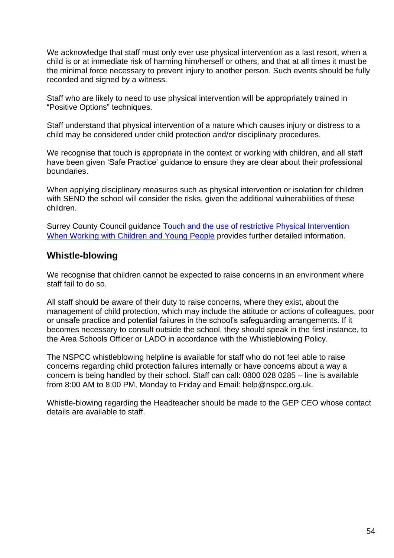We acknowledge that staff must only ever use physical intervention as a last resort, when a child is or at immediate risk of harming him/herself or others, and that at all times it must be the minimal force necessary to prevent injury to another person. Such events should be fully recorded and signed by a witness.

Staff who are likely to need to use physical intervention will be appropriately trained in "Positive Options" techniques.

Staff understand that physical intervention of a nature which causes injury or distress to a child may be considered under child protection and/or disciplinary procedures.

We recognise that touch is appropriate in the context or working with children, and all staff have been given 'Safe Practice' guidance to ensure they are clear about their professional boundaries.

When applying disciplinary measures such as physical intervention or isolation for children with SEND the school will consider the risks, given the additional vulnerabilities of these children.

Surrey County Council guidance Touch and the use of restrictive Physical Intervention When Working with [Children and Young People](file://///surreycc.local/deptwide/CSF/Inclusion/Education%20Safeguarding/Website%20%20policies%20-%20WORD%20Versions/Policies%20in%20process/2018%20Model%20Safeguarding%20&%20CP%20for%20schools/Touch%20and%20the%20use%20of%20restrictive%20physical%20intervention%20when) provides further detailed information.

## **Whistle-blowing**

We recognise that children cannot be expected to raise concerns in an environment where staff fail to do so.

All staff should be aware of their duty to raise concerns, where they exist, about the management of child protection, which may include the attitude or actions of colleagues, poor or unsafe practice and potential failures in the school's safeguarding arrangements. If it becomes necessary to consult outside the school, they should speak in the first instance, to the Area Schools Officer or LADO in accordance with the Whistleblowing Policy.

The NSPCC whistleblowing helpline is available for staff who do not feel able to raise concerns regarding child protection failures internally or have concerns about a way a concern is being handled by their school. Staff can call: 0800 028 0285 – line is available from 8:00 AM to 8:00 PM, Monday to Friday and Email: help@nspcc.org.uk.

Whistle-blowing regarding the Headteacher should be made to the GEP CEO whose contact details are available to staff.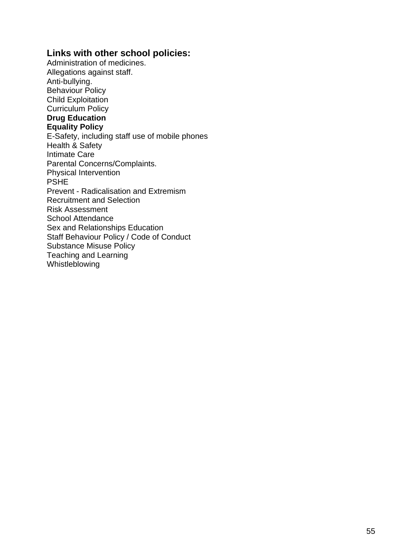## **Links with other school policies:**

Administration of medicines. Allegations against staff. Anti-bullying. Behaviour Policy Child Exploitation Curriculum Policy **Drug Education Equality Policy** E-Safety, including staff use of mobile phones Health & Safety Intimate Care Parental Concerns/Complaints. Physical Intervention PSHE Prevent - Radicalisation and Extremism Recruitment and Selection Risk Assessment School Attendance Sex and Relationships Education Staff Behaviour Policy / Code of Conduct Substance Misuse Policy Teaching and Learning Whistleblowing